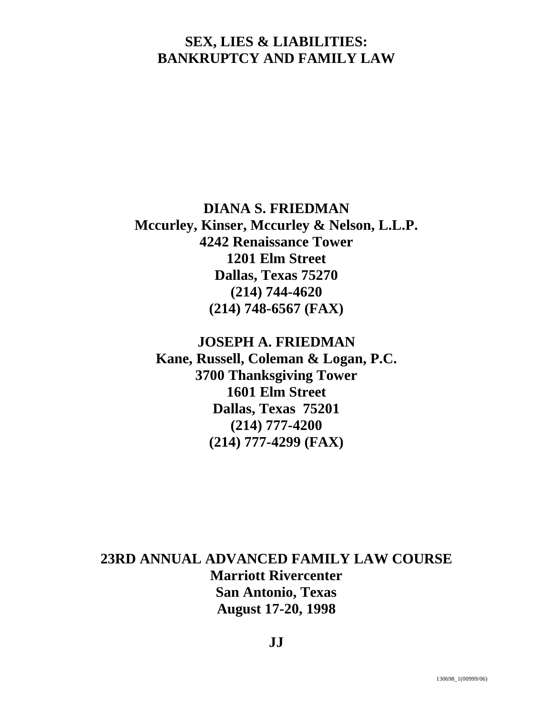# **SEX, LIES & LIABILITIES: BANKRUPTCY AND FAMILY LAW**

**DIANA S. FRIEDMAN**

**Mccurley, Kinser, Mccurley & Nelson, L.L.P. 4242 Renaissance Tower 1201 Elm Street Dallas, Texas 75270 (214) 744-4620 (214) 748-6567 (FAX)**

**JOSEPH A. FRIEDMAN Kane, Russell, Coleman & Logan, P.C. 3700 Thanksgiving Tower 1601 Elm Street Dallas, Texas 75201 (214) 777-4200 (214) 777-4299 (FAX)**

**23RD ANNUAL ADVANCED FAMILY LAW COURSE Marriott Rivercenter San Antonio, Texas August 17-20, 1998**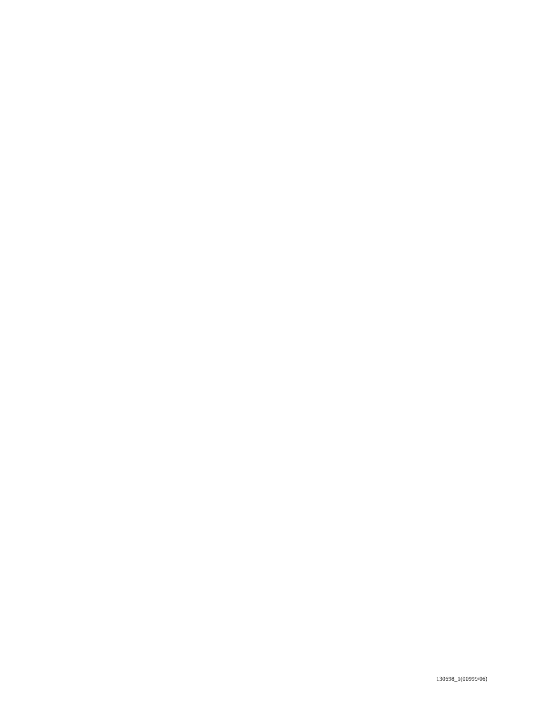130698\_1(00999/06)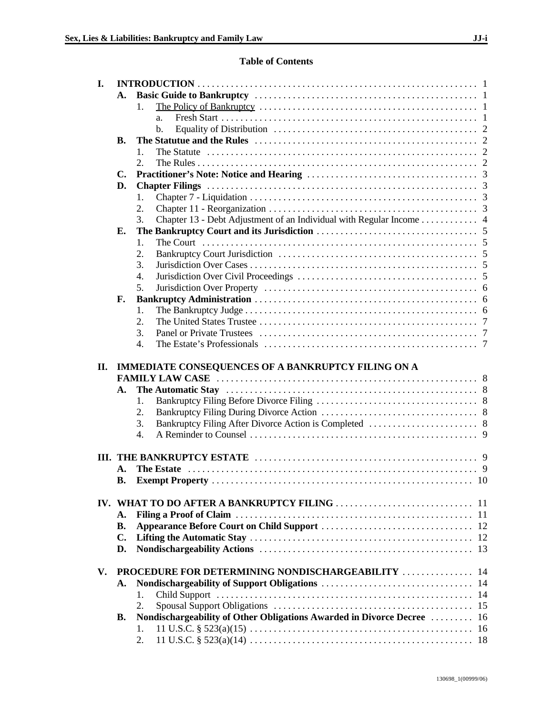### **Table of Contents**

| I. |                |                                                                           |  |
|----|----------------|---------------------------------------------------------------------------|--|
|    | A.             |                                                                           |  |
|    |                | $\mathbf{1}$ .                                                            |  |
|    |                | a.                                                                        |  |
|    |                | b.                                                                        |  |
|    | <b>B.</b>      |                                                                           |  |
|    |                | $\mathbf{1}$ .                                                            |  |
|    |                | $\overline{2}$ .                                                          |  |
|    | $\mathbf{C}$ . |                                                                           |  |
|    | D.             |                                                                           |  |
|    |                | $1_{\cdot}$                                                               |  |
|    |                | 2.                                                                        |  |
|    |                | Chapter 13 - Debt Adjustment of an Individual with Regular Income 4<br>3. |  |
|    | Е.             |                                                                           |  |
|    |                | 1.                                                                        |  |
|    |                | 2.                                                                        |  |
|    |                | 3.                                                                        |  |
|    |                | 4.                                                                        |  |
|    |                | 5.                                                                        |  |
|    | F.             |                                                                           |  |
|    |                | 1.                                                                        |  |
|    |                | 2.                                                                        |  |
|    |                | 3.                                                                        |  |
|    |                | 4.                                                                        |  |
|    |                |                                                                           |  |
| Н. |                | <b>IMMEDIATE CONSEQUENCES OF A BANKRUPTCY FILING ON A</b>                 |  |
|    |                |                                                                           |  |
|    | A.             |                                                                           |  |
|    |                | 1.                                                                        |  |
|    |                | 2.                                                                        |  |
|    |                | 3.                                                                        |  |
|    |                | 4.                                                                        |  |
|    |                |                                                                           |  |
|    |                |                                                                           |  |
|    | A.             |                                                                           |  |
|    | В.             |                                                                           |  |
|    |                |                                                                           |  |
|    |                |                                                                           |  |
|    |                |                                                                           |  |
|    | A.             |                                                                           |  |
|    |                |                                                                           |  |
|    | <b>B.</b>      |                                                                           |  |
|    | $\mathbf{C}$ . |                                                                           |  |
|    | D.             |                                                                           |  |
|    |                |                                                                           |  |
| V. |                | <b>PROCEDURE FOR DETERMINING NONDISCHARGEABILITY</b> 14                   |  |
|    | A.             |                                                                           |  |
|    |                | 1.                                                                        |  |
|    |                | 2.                                                                        |  |
|    | <b>B.</b>      | Nondischargeability of Other Obligations Awarded in Divorce Decree  16    |  |
|    |                | 1.<br>2.                                                                  |  |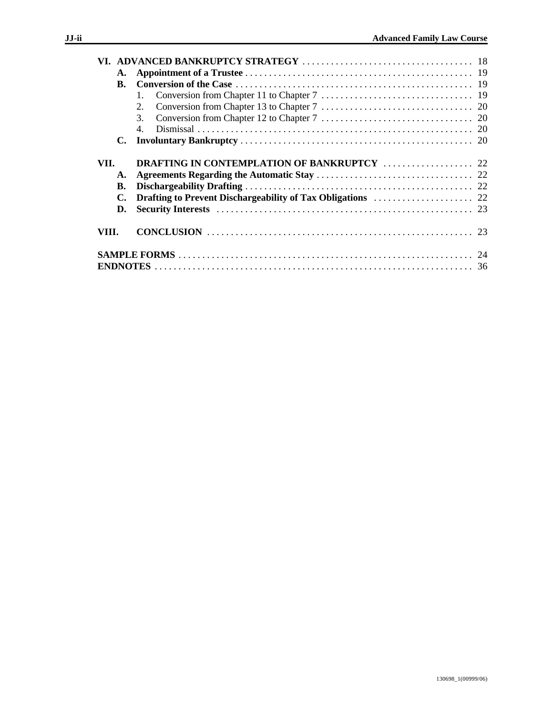| A.                                             |    |  |  |
|------------------------------------------------|----|--|--|
| <b>B.</b>                                      |    |  |  |
|                                                |    |  |  |
|                                                | 2. |  |  |
|                                                |    |  |  |
|                                                |    |  |  |
| $\mathbf{C}$ .                                 |    |  |  |
| VII.<br><b>A.</b><br><b>B.</b><br>$\mathbf{C}$ |    |  |  |
| D.                                             |    |  |  |
| VIII.                                          |    |  |  |
|                                                |    |  |  |
|                                                |    |  |  |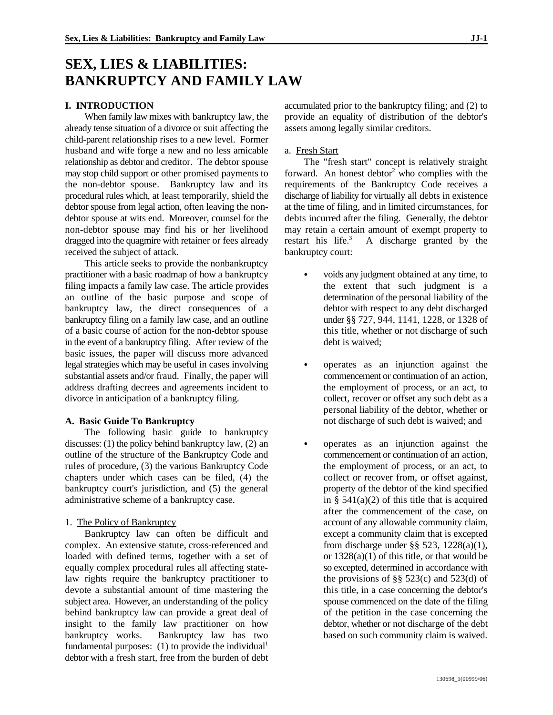## **SEX, LIES & LIABILITIES: BANKRUPTCY AND FAMILY LAW**

### **I. INTRODUCTION**

already tense situation of a divorce or suit affecting the assets among legally similar creditors. child-parent relationship rises to a new level. Former husband and wife forge a new and no less amicable a. Fresh Start relationship as debtor and creditor. The debtor spouse The "fresh start" concept is relatively straight may stop child support or other promised payments to forward. An honest debtor<sup>2</sup> who complies with the may stop child support or other promised payments to forward. An honest debtor<sup>2</sup> who complies with the the non-debtor spouse. Bankruptcy law and its requirements of the Bankruptcy Code receives a procedural rules which, at least temporarily, shield the discharge of liability for virtually all debts in existence debtor spouse from legal action, often leaving the non- at the time of filing, and in limited circumstances, for debtor spouse at wits end. Moreover, counsel for the debts incurred after the filing. Generally, the debtor non-debtor spouse may find his or her livelihood may retain a certain amount of exempt property to dragged into the quagmire with retainer or fees already restart his life.<sup>3</sup> A discharge granted by the dragged into the quagmire with retainer or fees already received the subject of attack. bankruptcy court:

This article seeks to provide the nonbankruptcy practitioner with a basic roadmap of how a bankruptcy voids any judgment obtained at any time, to filing impacts a family law case. The article provides the extent that such judgment is a an outline of the basic purpose and scope of determination of the personal liability of the bankruptcy law, the direct consequences of a debtor with respect to any debt discharged bankruptcy filing on a family law case, and an outline under §§ 727, 944, 1141, 1228, or 1328 of of a basic course of action for the non-debtor spouse this title, whether or not discharge of such in the event of a bankruptcy filing. After review of the debt is waived; basic issues, the paper will discuss more advanced legal strategies which may be useful in cases involving • operates as an injunction against the substantial assets and/or fraud. Finally, the paper will commencement or continuation of an action, address drafting decrees and agreements incident to the employment of process, or an act, to address drafting decrees and agreements incident to divorce in anticipation of a bankruptcy filing. collect, recover or offset any such debt as a

### **A. Basic Guide To Bankruptcy**

The following basic guide to bankruptcy discusses: (1) the policy behind bankruptcy law, (2) an  $\bullet$  operates as an injunction against the outline of the structure of the Bankruptcy Code and commencement or continuation of an action, rules of procedure, (3) the various Bankruptcy Code the employment of process, or an act, to chapters under which cases can be filed, (4) the collect or recover from, or offset against, bankruptcy court's jurisdiction, and (5) the general property of the debtor of the kind specified administrative scheme of a bankruptcy case. in §  $541(a)(2)$  of this title that is acquired

complex. An extensive statute, cross-referenced and from discharge under  $\S$ § 523, 1228(a)(1), loaded with defined terms, together with a set of or  $1328(a)(1)$  of this title, or that would be equally complex procedural rules all affecting state- so excepted, determined in accordance with law rights require the bankruptcy practitioner to the provisions of  $\S$  523(c) and 523(d) of devote a substantial amount of time mastering the this title, in a case concerning the debtor's subject area. However, an understanding of the policy spouse commenced on the date of the filing behind bankruptcy law can provide a great deal of of the petition in the case concerning the insight to the family law practitioner on how debtor, whether or not discharge of the debt bankruptcy works. Bankruptcy law has two based on such community claim is waived. fundamental purposes:  $(1)$  to provide the individual<sup>1</sup> debtor with a fresh start, free from the burden of debt

When family law mixes with bankruptcy law, the provide an equality of distribution of the debtor's accumulated prior to the bankruptcy filing; and (2) to

discharge of liability for virtually all debts in existence restart his life.<sup>3</sup>

- 
- personal liability of the debtor, whether or not discharge of such debt is waived; and
- 1. The Policy of Bankruptcy account of any allowable community claim, Bankruptcy law can often be difficult and except a community claim that is excepted after the commencement of the case, on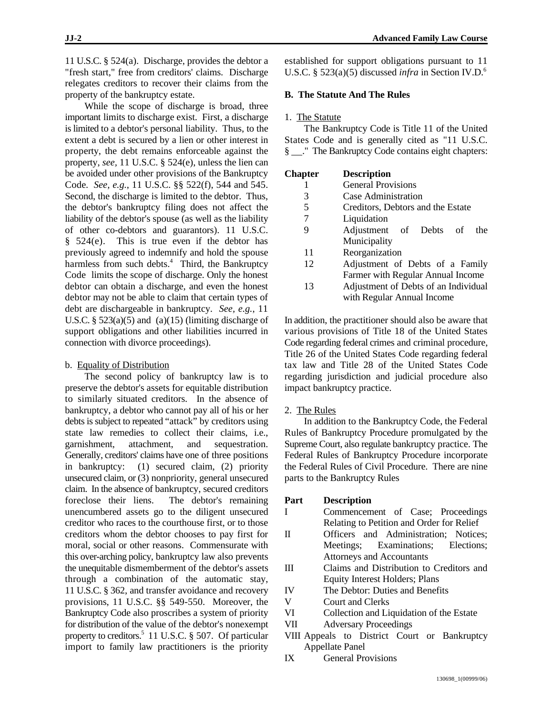11 U.S.C. § 524(a). Discharge, provides the debtor a established for support obligations pursuant to 11 "fresh start," free from creditors' claims. Discharge relegates creditors to recover their claims from the property of the bankruptcy estate.

While the scope of discharge is broad, three important limits to discharge exist. First, a discharge 1. The Statute is limited to a debtor's personal liability. Thus, to the The Bankruptcy Code is Title 11 of the United property, *see,* 11 U.S.C. § 524(e), unless the lien can be avoided under other provisions of the Bankruptcy Code. *See, e.g.*, 11 U.S.C. §§ 522(f), 544 and 545. Second, the discharge is limited to the debtor. Thus, the debtor's bankruptcy filing does not affect the liability of the debtor's spouse (as well as the liability of other co-debtors and guarantors). 11 U.S.C.  $§$  524(e). This is true even if the debtor has previously agreed to indemnify and hold the spouse harmless from such debts.<sup>4</sup> Third, the Bankruptcy 12 Adjustment of Debts of a Family Code limits the scope of discharge. Only the honest debtor can obtain a discharge, and even the honest debtor may not be able to claim that certain types of with Regular Annual Income debt are dischargeable in bankruptcy. *See, e.g.*, 11 U.S.C. § 523(a)(5) and (a)(15) (limiting discharge of In addition, the practitioner should also be aware that support obligations and other liabilities incurred in various provisions of Title 18 of the United States

preserve the debtor's assets for equitable distribution impact bankruptcy practice. to similarly situated creditors. In the absence of bankruptcy, a debtor who cannot pay all of his or her  $2.$  The Rules debts is subject to repeated "attack" by creditors using In addition to the Bankruptcy Code, the Federal state law remedies to collect their claims, i.e., Rules of Bankruptcy Procedure promulgated by the garnishment, attachment, and sequestration. Supreme Court, also regulate bankruptcy practice. The Generally, creditors' claims have one of three positions Federal Rules of Bankruptcy Procedure incorporate in bankruptcy: (1) secured claim, (2) priority the Federal Rules of Civil Procedure. There are nine unsecured claim, or (3) nonpriority, general unsecured parts to the Bankruptcy Rules claim. In the absence of bankruptcy, secured creditors foreclose their liens. The debtor's remaining unencumbered assets go to the diligent unsecured I Commencement of Case; Proceedings creditor who races to the courthouse first, or to those Relating to Petition and Order for Relief creditors whom the debtor chooses to pay first for II Officers and Administration; Notices; moral, social or other reasons. Commensurate with Meetings; Examinations; Elections; this over-arching policy, bankruptcy law also prevents Attorneys and Accountants the unequitable dismemberment of the debtor's assets III Claims and Distribution to Creditors and through a combination of the automatic stay, Equity Interest Holders; Plans 11 U.S.C. § 362, and transfer avoidance and recovery IV The Debtor: Duties and Benefits provisions, 11 U.S.C. §§ 549-550. Moreover, the V Court and Clerks Bankruptcy Code also proscribes a system of priority VI Collection and Liquidation of the Estate for distribution of the value of the debtor's nonexempt VII Adversary Proceedings property to creditors.<sup>5</sup> 11 U.S.C. § 507. Of particular VIII Appeals to District Court or Bankruptcy import to family law practitioners is the priority Appellate Panel

U.S.C. § 523(a)(5) discussed *infra* in Section IV.D.<sup>6</sup>

### **B. The Statute And The Rules**

extent a debt is secured by a lien or other interest in States Code and is generally cited as "11 U.S.C. property, the debt remains enforceable against the  $\frac{8}{5}$ . The Bankruptcy Code contains eight chapters:

| <b>Chapter</b> | <b>Description</b>                   |  |  |
|----------------|--------------------------------------|--|--|
|                | <b>General Provisions</b>            |  |  |
| 3              | Case Administration                  |  |  |
| 5              | Creditors, Debtors and the Estate    |  |  |
| 7              | Liquidation                          |  |  |
| 9              | Adjustment of Debts of<br>the        |  |  |
|                | Municipality                         |  |  |
| 11             | Reorganization                       |  |  |
| 12             | Adjustment of Debts of a Family      |  |  |
|                | Farmer with Regular Annual Income    |  |  |
| 13             | Adjustment of Debts of an Individual |  |  |
|                | with Regular Annual Income           |  |  |

connection with divorce proceedings). Code regarding federal crimes and criminal procedure, b. Equality of Distribution tax law and Title 28 of the United States Code The second policy of bankruptcy law is to regarding jurisdiction and judicial procedure also Title 26 of the United States Code regarding federal

attachment, and sequestration. Supreme Court, also regulate bankruptcy practice. The

### **Part Description**

- 
- 
- 
- 
- 
- 
- 
- 
- IX General Provisions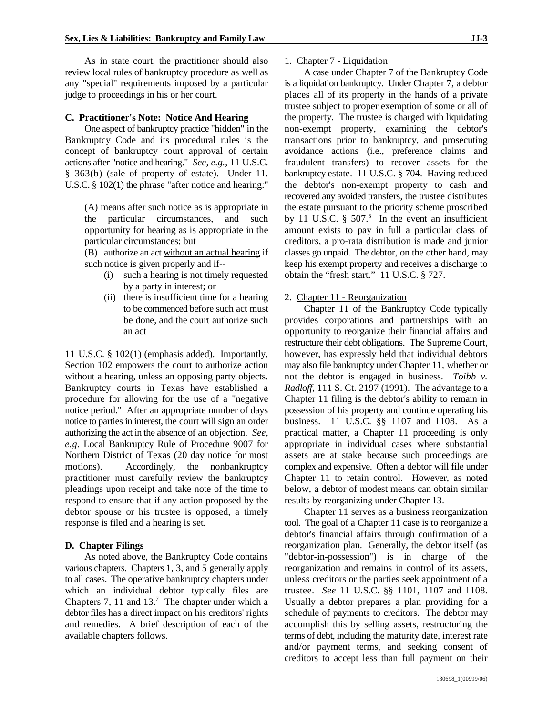As in state court, the practitioner should also 1. Chapter 7 - Liquidation review local rules of bankruptcy procedure as well as A case under Chapter 7 of the Bankruptcy Code

### **C. Practitioner's Note: Notice And Hearing**

Bankruptcy Code and its procedural rules is the transactions prior to bankruptcy, and prosecuting concept of bankruptcy court approval of certain avoidance actions (i.e., preference claims and actions after "notice and hearing." *See, e.g.*, 11 U.S.C. fraudulent transfers) to recover assets for the § 363(b) (sale of property of estate). Under 11. bankruptcy estate. 11 U.S.C. § 704. Having reduced U.S.C. § 102(1) the phrase "after notice and hearing:" the debtor's non-exempt property to cash and

- by a party in interest; or
- (ii) there is insufficient time for a hearing  $2.$  Chapter 11 Reorganization

Section 102 empowers the court to authorize action may also file bankruptcy under Chapter 11, whether or without a hearing, unless an opposing party objects. not the debtor is engaged in business. Toibb *v*. Bankruptcy courts in Texas have established a *Radloff,* 111 S. Ct. 2197 (1991). The advantage to a procedure for allowing for the use of a "negative Chapter 11 filing is the debtor's ability to remain in notice period." After an appropriate number of days possession of his property and continue operating his notice to parties in interest, the court will sign an order business. 11 U.S.C. §§ 1107 and 1108. As a authorizing the act in the absence of an objection. *See,* practical matter, a Chapter 11 proceeding is only *e.g*. Local Bankruptcy Rule of Procedure 9007 for appropriate in individual cases where substantial Northern District of Texas (20 day notice for most assets are at stake because such proceedings are motions). Accordingly, the nonbankruptcy complex and expensive. Often a debtor will file under practitioner must carefully review the bankruptcy Chapter 11 to retain control. However, as noted pleadings upon receipt and take note of the time to below, a debtor of modest means can obtain similar respond to ensure that if any action proposed by the results by reorganizing under Chapter 13. debtor spouse or his trustee is opposed, a timely Chapter 11 serves as a business reorganization

### **D. Chapter Filings**

various chapters. Chapters 1, 3, and 5 generally apply reorganization and remains in control of its assets, which an individual debtor typically files are trustee. *See* 11 U.S.C. §§ 1101, 1107 and 1108. Chapters 7, 11 and 13.<sup>7</sup> The chapter under which a Usually a debtor prepares a plan providing for a debtor files has a direct impact on his creditors' rights schedule of payments to creditors. The debtor may available chapters follows. terms of debt, including the maturity date, interest rate

any "special" requirements imposed by a particular is a liquidation bankruptcy. Under Chapter 7, a debtor judge to proceedings in his or her court. places all of its property in the hands of a private One aspect of bankruptcy practice "hidden" in the non-exempt property, examining the debtor's (A) means after such notice as is appropriate in the estate pursuant to the priority scheme proscribed the particular circumstances, and such by 11 U.S.C.  $\S$  507. $^8$  In the event an insufficient opportunity for hearing as is appropriate in the amount exists to pay in full a particular class of particular circumstances; but creditors, a pro-rata distribution is made and junior (B) authorize an act without an actual hearing if classes go unpaid. The debtor, on the other hand, may such notice is given properly and if--<br>keep his exempt property and receives a discharge to (i) such a hearing is not timely requested obtain the "fresh start." 11 U.S.C. § 727. trustee subject to proper exemption of some or all of the property. The trustee is charged with liquidating recovered any avoided transfers, the trustee distributes

to be commenced before such act must Chapter 11 of the Bankruptcy Code typically be done, and the court authorize such provides corporations and partnerships with an an act opportunity to reorganize their financial affairs and 11 U.S.C. § 102(1) (emphasis added). Importantly, however, has expressly held that individual debtors restructure their debt obligations. The Supreme Court,

response is filed and a hearing is set. tool. The goal of a Chapter 11 case is to reorganize a As noted above, the Bankruptcy Code contains "debtor-in-possession") is in charge of the to all cases. The operative bankruptcy chapters under unless creditors or the parties seek appointment of a and remedies. A brief description of each of the accomplish this by selling assets, restructuring the debtor's financial affairs through confirmation of a reorganization plan. Generally, the debtor itself (as and/or payment terms, and seeking consent of creditors to accept less than full payment on their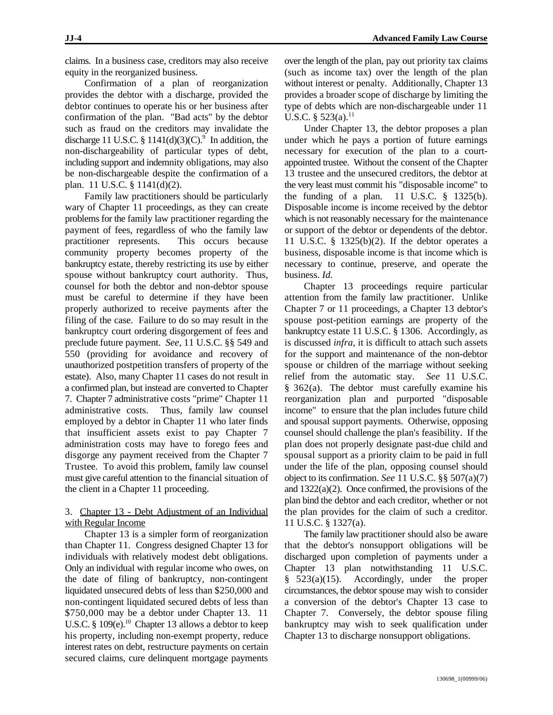provides the debtor with a discharge, provided the provides a broader scope of discharge by limiting the debtor continues to operate his or her business after type of debts which are non-dischargeable under 11 confirmation of the plan. "Bad acts" by the debtor such as fraud on the creditors may invalidate the Under Chapter 13, the debtor proposes a plan discharge 11 U.S.C. § 1141(d)(3)(C).<sup>9</sup> In addition, the under which he pays a portion of future earnings non-dischargeability of particular types of debt, necessary for execution of the plan to a courtincluding support and indemnity obligations, may also appointed trustee. Without the consent of the Chapter be non-dischargeable despite the confirmation of a 13 trustee and the unsecured creditors, the debtor at plan. 11 U.S.C. § 1141(d)(2). the very least must commit his "disposable income" to

wary of Chapter 11 proceedings, as they can create Disposable income is income received by the debtor problems for the family law practitioner regarding the which is not reasonably necessary for the maintenance payment of fees, regardless of who the family law or support of the debtor or dependents of the debtor. practitioner represents. This occurs because 11 U.S.C.  $\S$  1325(b)(2). If the debtor operates a community property becomes property of the business, disposable income is that income which is bankruptcy estate, thereby restricting its use by either necessary to continue, preserve, and operate the spouse without bankruptcy court authority. Thus, business. *Id.* counsel for both the debtor and non-debtor spouse Chapter 13 proceedings require particular must be careful to determine if they have been attention from the family law practitioner. Unlike properly authorized to receive payments after the Chapter 7 or 11 proceedings, a Chapter 13 debtor's filing of the case. Failure to do so may result in the spouse post-petition earnings are property of the bankruptcy court ordering disgorgement of fees and bankruptcy estate 11 U.S.C. § 1306. Accordingly, as preclude future payment. *See,* 11 U.S.C. §§ 549 and is discussed *infra*, it is difficult to attach such assets 550 (providing for avoidance and recovery of for the support and maintenance of the non-debtor unauthorized postpetition transfers of property of the spouse or children of the marriage without seeking estate). Also, many Chapter 11 cases do not result in relief from the automatic stay. *See* 11 U.S.C. a confirmed plan, but instead are converted to Chapter  $\S$  362(a). The debtor must carefully examine his 7. Chapter 7 administrative costs "prime" Chapter 11 reorganization plan and purported "disposable administrative costs. Thus, family law counsel income" to ensure that the plan includes future child employed by a debtor in Chapter 11 who later finds and spousal support payments. Otherwise, opposing that insufficient assets exist to pay Chapter 7 counsel should challenge the plan's feasibility. If the administration costs may have to forego fees and plan does not properly designate past-due child and disgorge any payment received from the Chapter 7 spousal support as a priority claim to be paid in full Trustee. To avoid this problem, family law counsel under the life of the plan, opposing counsel should must give careful attention to the financial situation of object to its confirmation. *See* 11 U.S.C. §§ 507(a)(7) the client in a Chapter 11 proceeding.  $and 1322(a)(2)$ . Once confirmed, the provisions of the

# with Regular Income 11 U.S.C. § 1327(a).

than Chapter 11. Congress designed Chapter 13 for that the debtor's nonsupport obligations will be individuals with relatively modest debt obligations. discharged upon completion of payments under a Only an individual with regular income who owes, on Chapter 13 plan notwithstanding 11 U.S.C. the date of filing of bankruptcy, non-contingent § 523(a)(15). Accordingly, under the proper liquidated unsecured debts of less than \$250,000 and circumstances, the debtor spouse may wish to consider non-contingent liquidated secured debts of less than a conversion of the debtor's Chapter 13 case to \$750,000 may be a debtor under Chapter 13. 11 Chapter 7. Conversely, the debtor spouse filing U.S.C. § 109 $(e)$ .<sup>10</sup> Chapter 13 allows a debtor to keep bankruptcy may wish to seek qualification under his property, including non-exempt property, reduce Chapter 13 to discharge nonsupport obligations. interest rates on debt, restructure payments on certain secured claims, cure delinquent mortgage payments

claims. In a business case, creditors may also receive over the length of the plan, pay out priority tax claims equity in the reorganized business. (such as income tax) over the length of the plan Confirmation of a plan of reorganization without interest or penalty. Additionally, Chapter 13 U.S.C. §  $523(a)$ .<sup>11</sup>

Family law practitioners should be particularly the funding of a plan. 11 U.S.C. § 1325(b). which is not reasonably necessary for the maintenance

3. Chapter 13 - Debt Adjustment of an Individual the plan provides for the claim of such a creditor. plan bind the debtor and each creditor, whether or not

Chapter 13 is a simpler form of reorganization The family law practitioner should also be aware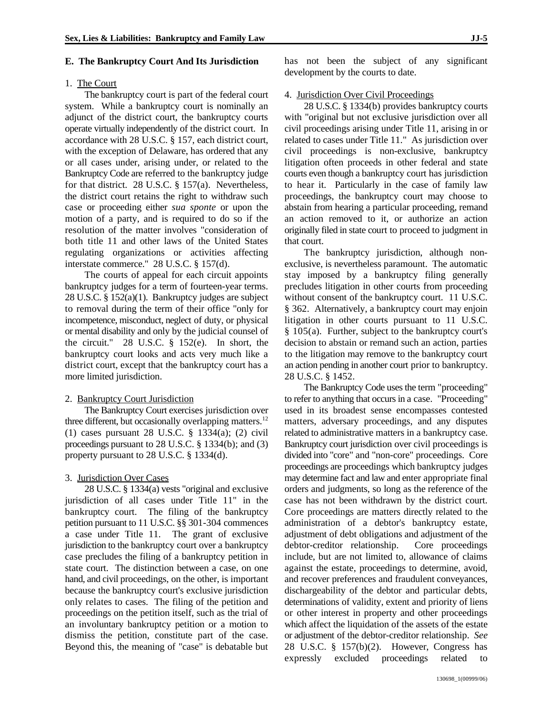### **E. The Bankruptcy Court And Its Jurisdiction**

### 1. The Court

The bankruptcy court is part of the federal court 4. Jurisdiction Over Civil Proceedings system. While a bankruptcy court is nominally an 28 U.S.C. § 1334(b) provides bankruptcy courts adjunct of the district court, the bankruptcy courts with "original but not exclusive jurisdiction over all operate virtually independently of the district court. In civil proceedings arising under Title 11, arising in or or all cases under, arising under, or related to the litigation often proceeds in other federal and state Bankruptcy Code are referred to the bankruptcy judge courts even though a bankruptcy court has jurisdiction for that district. 28 U.S.C.  $\S$  157(a). Nevertheless, to hear it. Particularly in the case of family law the district court retains the right to withdraw such proceedings, the bankruptcy court may choose to case or proceeding either *sua sponte* or upon the abstain from hearing a particular proceeding, remand resolution of the matter involves "consideration of originally filed in state court to proceed to judgment in both title 11 and other laws of the United States that court. regulating organizations or activities affecting The bankruptcy jurisdiction, although noninterstate commerce." 28 U.S.C. § 157(d). exclusive, is nevertheless paramount. The automatic

bankruptcy judges for a term of fourteen-year terms. precludes litigation in other courts from proceeding 28 U.S.C. § 152(a)(1). Bankruptcy judges are subject without consent of the bankruptcy court. 11 U.S.C. to removal during the term of their office "only for § 362. Alternatively, a bankruptcy court may enjoin incompetence, misconduct, neglect of duty, or physical litigation in other courts pursuant to 11 U.S.C. or mental disability and only by the judicial counsel of § 105(a). Further, subject to the bankruptcy court's the circuit." 28 U.S.C. § 152(e). In short, the decision to abstain or remand such an action, parties bankruptcy court looks and acts very much like a to the litigation may remove to the bankruptcy court district court, except that the bankruptcy court has a an action pending in another court prior to bankruptcy. more limited jurisdiction. 28 U.S.C. § 1452.

three different, but occasionally overlapping matters.<sup>12</sup>

jurisdiction of all cases under Title 11" in the case has not been withdrawn by the district court. bankruptcy court. The filing of the bankruptcy Core proceedings are matters directly related to the petition pursuant to 11 U.S.C. §§ 301-304 commences administration of a debtor's bankruptcy estate, a case under Title 11. The grant of exclusive adjustment of debt obligations and adjustment of the jurisdiction to the bankruptcy court over a bankruptcy debtor-creditor relationship. Core proceedings case precludes the filing of a bankruptcy petition in include, but are not limited to, allowance of claims state court. The distinction between a case, on one against the estate, proceedings to determine, avoid, hand, and civil proceedings, on the other, is important and recover preferences and fraudulent conveyances, because the bankruptcy court's exclusive jurisdiction dischargeability of the debtor and particular debts, only relates to cases. The filing of the petition and determinations of validity, extent and priority of liens proceedings on the petition itself, such as the trial of or other interest in property and other proceedings an involuntary bankruptcy petition or a motion to which affect the liquidation of the assets of the estate dismiss the petition, constitute part of the case. or adjustment of the debtor-creditor relationship. *See*

has not been the subject of any significant development by the courts to date.

accordance with 28 U.S.C. § 157, each district court, related to cases under Title 11." As jurisdiction over with the exception of Delaware, has ordered that any civil proceedings is non-exclusive, bankruptcy motion of a party, and is required to do so if the an action removed to it, or authorize an action

The courts of appeal for each circuit appoints stay imposed by a bankruptcy filing generally

2. Bankruptcy Court Jurisdiction to refer to anything that occurs in a case. "Proceeding" The Bankruptcy Court exercises jurisdiction over used in its broadest sense encompasses contested matters, adversary proceedings, and any disputes (1) cases pursuant 28 U.S.C. § 1334(a); (2) civil related to administrative matters in a bankruptcy case. proceedings pursuant to 28 U.S.C. § 1334(b); and (3) Bankruptcy court jurisdiction over civil proceedings is property pursuant to 28 U.S.C. § 1334(d). divided into "core" and "non-core" proceedings. Core 3. Jurisdiction Over Cases may determine fact and law and enter appropriate final 28 U.S.C. § 1334(a) vests "original and exclusive orders and judgments, so long as the reference of the Beyond this, the meaning of "case" is debatable but 28 U.S.C. § 157(b)(2). However, Congress has The Bankruptcy Code uses the term "proceeding" proceedings are proceedings which bankruptcy judges expressly excluded proceedings related to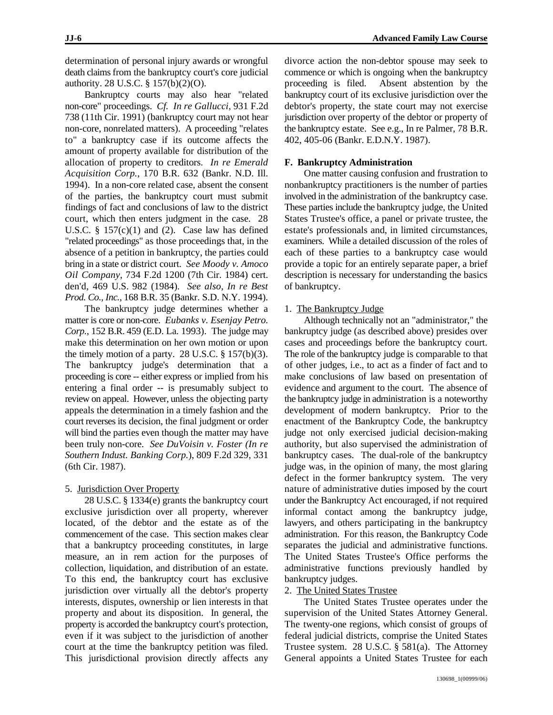non-core" proceedings. *Cf. In re Gallucci*, 931 F.2d debtor's property, the state court may not exercise 738 (11th Cir. 1991) (bankruptcy court may not hear jurisdiction over property of the debtor or property of non-core, nonrelated matters). A proceeding "relates the bankruptcy estate. See e.g., In re Palmer, 78 B.R. to" a bankruptcy case if its outcome affects the 402, 405-06 (Bankr. E.D.N.Y. 1987). amount of property available for distribution of the allocation of property to creditors. *In re Emerald Acquisition Corp.*, 170 B.R. 632 (Bankr. N.D. Ill. One matter causing confusion and frustration to 1994). In a non-core related case, absent the consent nonbankruptcy practitioners is the number of parties of the parties, the bankruptcy court must submit involved in the administration of the bankruptcy case. findings of fact and conclusions of law to the district These parties include the bankruptcy judge, the United court, which then enters judgment in the case. 28 States Trustee's office, a panel or private trustee, the U.S.C. § 157(c)(1) and (2). Case law has defined estate's professionals and, in limited circumstances, "related proceedings" as those proceedings that, in the examiners. While a detailed discussion of the roles of absence of a petition in bankruptcy, the parties could each of these parties to a bankruptcy case would bring in a state or district court. *See Moody v. Amoco* provide a topic for an entirely separate paper, a brief *Oil Company*, 734 F.2d 1200 (7th Cir. 1984) cert. description is necessary for understanding the basics den'd, 469 U.S. 982 (1984)*. See also, In re Best* of bankruptcy. *Prod. Co., Inc.*, 168 B.R. 35 (Bankr. S.D. N.Y. 1994)*.*

The bankruptcy judge determines whether a 1. The Bankruptcy Judge matter is core or non-core. *Eubanks v. Esenjay Petro.* Although technically not an "administrator," the *Corp.*, 152 B.R. 459 (E.D. La. 1993). The judge may bankruptcy judge (as described above) presides over make this determination on her own motion or upon cases and proceedings before the bankruptcy court. the timely motion of a party. 28 U.S.C.  $\S$  157(b)(3). The role of the bankruptcy judge is comparable to that The bankruptcy judge's determination that a of other judges, i.e., to act as a finder of fact and to proceeding is core -- either express or implied from his make conclusions of law based on presentation of entering a final order -- is presumably subject to evidence and argument to the court. The absence of review on appeal. However, unless the objecting party the bankruptcy judge in administration is a noteworthy appeals the determination in a timely fashion and the development of modern bankruptcy. Prior to the court reverses its decision, the final judgment or order enactment of the Bankruptcy Code, the bankruptcy will bind the parties even though the matter may have judge not only exercised judicial decision-making been truly non-core. *See DuVoisin v. Foster (In re* authority, but also supervised the administration of *Southern Indust. Banking Corp.*), 809 F.2d 329, 331 bankruptcy cases. The dual-role of the bankruptcy (6th Cir. 1987). judge was, in the opinion of many, the most glaring

exclusive jurisdiction over all property, wherever informal contact among the bankruptcy judge, located, of the debtor and the estate as of the lawyers, and others participating in the bankruptcy commencement of the case. This section makes clear administration. For this reason, the Bankruptcy Code that a bankruptcy proceeding constitutes, in large separates the judicial and administrative functions. measure, an in rem action for the purposes of The United States Trustee's Office performs the collection, liquidation, and distribution of an estate. administrative functions previously handled by To this end, the bankruptcy court has exclusive bankruptcy judges. jurisdiction over virtually all the debtor's property 2. The United States Trustee interests, disputes, ownership or lien interests in that The United States Trustee operates under the property and about its disposition. In general, the supervision of the United States Attorney General. property is accorded the bankruptcy court's protection, The twenty-one regions, which consist of groups of even if it was subject to the jurisdiction of another federal judicial districts, comprise the United States court at the time the bankruptcy petition was filed. Trustee system. 28 U.S.C. § 581(a). The Attorney This jurisdictional provision directly affects any General appoints a United States Trustee for each

determination of personal injury awards or wrongful divorce action the non-debtor spouse may seek to death claims from the bankruptcy court's core judicial commence or which is ongoing when the bankruptcy authority. 28 U.S.C. § 157(b)(2)(O). proceeding is filed. Absent abstention by the Bankruptcy courts may also hear "related bankruptcy court of its exclusive jurisdiction over the

### **F. Bankruptcy Administration**

5. Jurisdiction Over Property nature of administrative duties imposed by the court 28 U.S.C. § 1334(e) grants the bankruptcy court under the Bankruptcy Act encouraged, if not required defect in the former bankruptcy system. The very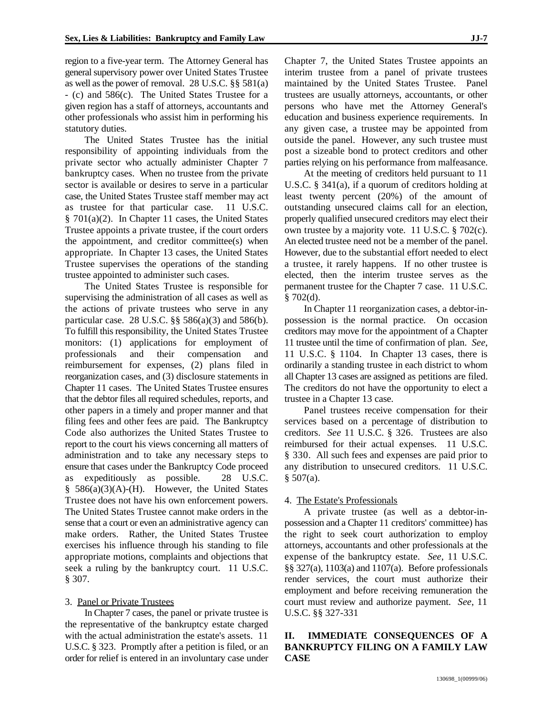generalsupervisory power over United States Trustee interim trustee from a panel of private trustees as well as the power of removal. 28 U.S.C. §§ 581(a) maintained by the United States Trustee. Panel - (c) and 586(c). The United States Trustee for a trustees are usually attorneys, accountants, or other given region has a staff of attorneys, accountants and persons who have met the Attorney General's other professionals who assist him in performing his education and business experience requirements. In statutory duties. The statutory duties any given case, a trustee may be appointed from

responsibility of appointing individuals from the post a sizeable bond to protect creditors and other private sector who actually administer Chapter 7 parties relying on his performance from malfeasance. bankruptcy cases. When no trustee from the private At the meeting of creditors held pursuant to 11 sector is available or desires to serve in a particular U.S.C. § 341(a), if a quorum of creditors holding at case, the United States Trustee staff member may act least twenty percent (20%) of the amount of as trustee for that particular case. 11 U.S.C. outstanding unsecured claims call for an election, § 701(a)(2). In Chapter 11 cases, the United States properly qualified unsecured creditors may elect their Trustee appoints a private trustee, if the court orders own trustee by a majority vote. 11 U.S.C. § 702(c). the appointment, and creditor committee(s) when An elected trustee need not be a member of the panel. appropriate. In Chapter 13 cases, the United States However, due to the substantial effort needed to elect Trustee supervises the operations of the standing a trustee, it rarely happens. If no other trustee is trustee appointed to administer such cases. elected, then the interim trustee serves as the

supervising the administration of all cases as well as  $\S$  702(d). the actions of private trustees who serve in any In Chapter 11 reorganization cases, a debtor-inparticular case. 28 U.S.C. §§ 586(a)(3) and 586(b). possession is the normal practice. On occasion To fulfill this responsibility, the United States Trustee creditors may move for the appointment of a Chapter monitors: (1) applications for employment of 11 trustee until the time of confirmation of plan. *See*, professionals and their compensation and 11 U.S.C. § 1104. In Chapter 13 cases, there is reimbursement for expenses, (2) plans filed in ordinarily a standing trustee in each district to whom reorganization cases, and (3) disclosure statements in all Chapter 13 cases are assigned as petitions are filed. Chapter 11 cases. The United States Trustee ensures The creditors do not have the opportunity to elect a that the debtor files all required schedules, reports, and trustee in a Chapter 13 case. other papers in a timely and proper manner and that Panel trustees receive compensation for their filing fees and other fees are paid. The Bankruptcy services based on a percentage of distribution to Code also authorizes the United States Trustee to creditors. *See* 11 U.S.C. § 326. Trustees are also report to the court his views concerning all matters of reimbursed for their actual expenses. 11 U.S.C. administration and to take any necessary steps to § 330. All such fees and expenses are paid prior to ensure that cases under the Bankruptcy Code proceed any distribution to unsecured creditors. 11 U.S.C. as expeditiously as possible. 28 U.S.C. § 507(a). § 586(a)(3)(A)-(H). However, the United States Trustee does not have his own enforcement powers. 4. The Estate's Professionals The United States Trustee cannot make orders in the A private trustee (as well as a debtor-insense that a court or even an administrative agency can possession and a Chapter 11 creditors' committee) has make orders. Rather, the United States Trustee the right to seek court authorization to employ exercises his influence through his standing to file attorneys, accountants and other professionals at the appropriate motions, complaints and objections that expense of the bankruptcy estate. *See*, 11 U.S.C. seek a ruling by the bankruptcy court. 11 U.S.C. §§ 327(a), 1103(a) and 1107(a). Before professionals § 307. render services, the court must authorize their

In Chapter 7 cases, the panel or private trustee is U.S.C. §§ 327-331 the representative of the bankruptcy estate charged with the actual administration the estate's assets. 11 U.S.C. § 323. Promptly after a petition is filed, or an order for relief is entered in an involuntary case under

region to a five-year term. The Attorney General has Chapter 7, the United States Trustee appoints an The United States Trustee has the initial outside the panel. However, any such trustee must

The United States Trustee is responsible for permanent trustee for the Chapter 7 case. 11 U.S.C.

3. Panel or Private Trustees court must review and authorize payment. *See*, 11 employment and before receiving remuneration the

### **II. IMMEDIATE CONSEQUENCES OF A BANKRUPTCY FILING ON A FAMILY LAW CASE**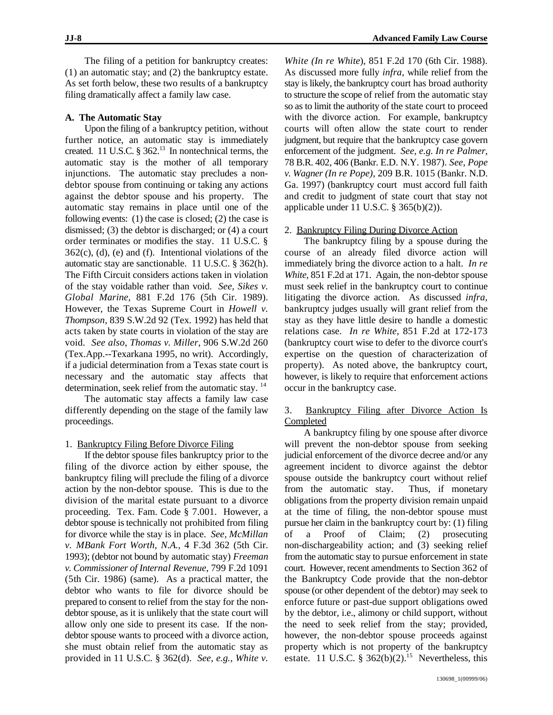The filing of a petition for bankruptcy creates: *White (In re White*), 851 F.2d 170 (6th Cir. 1988).

### **A. The Automatic Stay**

further notice, an automatic stay is immediately judgment, but require that the bankruptcy case govern created. 11 U.S.C. § 362.<sup>13</sup> In nontechnical terms, the enforcement of the judgment. *See, e.g. In re Palmer*, automatic stay is the mother of all temporary 78 B.R. 402, 406 (Bankr. E.D. N.Y. 1987). *See, Pope* created. 11 U.S.C.  $\S 362$ .<sup>13</sup> In nontechnical terms, the injunctions. The automatic stay precludes a non- *v. Wagner (In re Pope)*, 209 B.R. 1015 (Bankr. N.D. debtor spouse from continuing or taking any actions Ga. 1997) (bankruptcy court must accord full faith against the debtor spouse and his property. The and credit to judgment of state court that stay not automatic stay remains in place until one of the applicable under 11 U.S.C.  $\S 365(b)(2)$ ). following events: (1) the case is closed; (2) the case is dismissed; (3) the debtor is discharged; or (4) a court 2. Bankruptcy Filing During Divorce Action order terminates or modifies the stay. 11 U.S.C. § The bankruptcy filing by a spouse during the 362(c), (d), (e) and (f). Intentional violations of the course of an already filed divorce action will automatic stay are sanctionable. 11 U.S.C. § 362(h). immediately bring the divorce action to a halt. *In re* The Fifth Circuit considers actions taken in violation *White*, 851 F.2d at 171. Again, the non-debtor spouse of the stay voidable rather than void. *See, Sikes v.* must seek relief in the bankruptcy court to continue *Global Marine*, 881 F.2d 176 (5th Cir. 1989). litigating the divorce action. As discussed *infra*, However, the Texas Supreme Court in *Howell v.* bankruptcy judges usually will grant relief from the *Thompson*, 839 S.W.2d 92 (Tex. 1992) has held that stay as they have little desire to handle a domestic acts taken by state courts in violation of the stay are relations case. *In re White*, 851 F.2d at 172-173 void. *See also*, *Thomas v. Miller*, 906 S.W.2d 260 (bankruptcy court wise to defer to the divorce court's (Tex.App.--Texarkana 1995, no writ). Accordingly, expertise on the question of characterization of if a judicial determination from a Texas state court is property). As noted above, the bankruptcy court, necessary and the automatic stay affects that however, is likely to require that enforcement actions determination, seek relief from the automatic stay.  $14$  occur in the bankruptcy case.

The automatic stay affects a family law case differently depending on the stage of the family law 3. Bankruptcy Filing after Divorce Action Is proceedings. Completed

filing of the divorce action by either spouse, the agreement incident to divorce against the debtor bankruptcy filing will preclude the filing of a divorce spouse outside the bankruptcy court without relief action by the non-debtor spouse. This is due to the from the automatic stay. Thus, if monetary division of the marital estate pursuant to a divorce obligations from the property division remain unpaid proceeding. Tex. Fam. Code § 7.001. However, a at the time of filing, the non-debtor spouse must debtor spouse is technically not prohibited from filing pursue her claim in the bankruptcy court by: (1) filing for divorce while the stay is in place. *See, McMillan* of a Proof of Claim; (2) prosecuting *v. MBank Fort Worth, N.A.,* 4 F.3d 362 (5th Cir. non-dischargeability action; and (3) seeking relief 1993); (debtor not bound by automatic stay) *Freeman* from the automatic stay to pursue enforcement in state *v. Commissioner of Internal Revenue*, 799 F.2d 1091 court. However, recent amendments to Section 362 of (5th Cir. 1986) (same). As a practical matter, the the Bankruptcy Code provide that the non-debtor debtor who wants to file for divorce should be spouse (or other dependent of the debtor) may seek to prepared to consent to relief from the stay for the non- enforce future or past-due support obligations owed debtor spouse, as it is unlikely that the state court will by the debtor, i.e., alimony or child support, without allow only one side to present its case. If the non- the need to seek relief from the stay; provided, debtor spouse wants to proceed with a divorce action, however, the non-debtor spouse proceeds against she must obtain relief from the automatic stay as property which is not property of the bankruptcy provided in 11 U.S.C. § 362(d). *See, e.g., White v.* estate. 11 U.S.C. § 362(b)(2).<sup>15</sup> Nevertheless, this

(1) an automatic stay; and (2) the bankruptcy estate. As discussed more fully *infra*, while relief from the As set forth below, these two results of a bankruptcy stay is likely, the bankruptcy court has broad authority filing dramatically affect a family law case. to structure the scope of relief from the automatic stay Upon the filing of a bankruptcy petition, without courts will often allow the state court to render automatic stay is the mother of all temporary 78 B.R. 402, 406 (Bankr. E.D. N.Y. 1987). *See*, *Pope* so as to limit the authority of the state court to proceed with the divorce action. For example, bankruptcy

1. Bankruptcy Filing Before Divorce Filing will prevent the non-debtor spouse from seeking If the debtor spouse files bankruptcy prior to the judicial enforcement of the divorce decree and/or any A bankruptcy filing by one spouse after divorce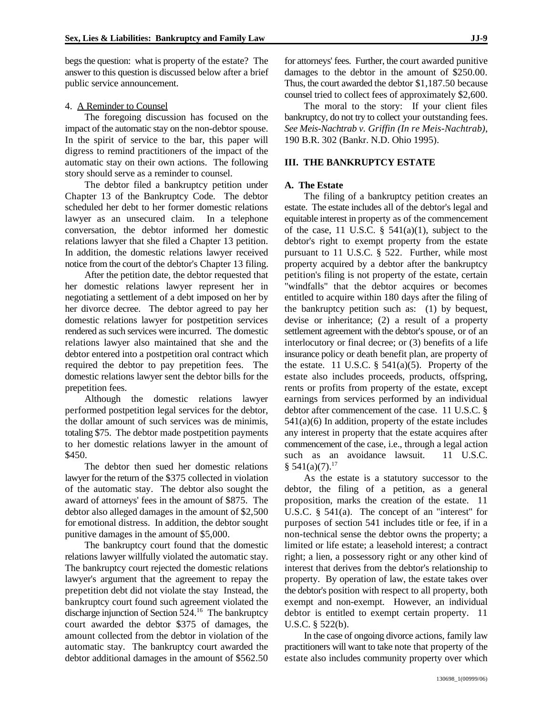answer to this question is discussed below after a brief damages to the debtor in the amount of \$250.00. public service announcement. Thus, the court awarded the debtor \$1,187.50 because

impact of the automatic stay on the non-debtor spouse. *See Meis-Nachtrab v. Griffin (In re Meis-Nachtrab)*, In the spirit of service to the bar, this paper will 190 B.R. 302 (Bankr. N.D. Ohio 1995). digress to remind practitioners of the impact of the automatic stay on their own actions. The following story should serve as a reminder to counsel.

The debtor filed a bankruptcy petition under Chapter 13 of the Bankruptcy Code. The debtor The filing of a bankruptcy petition creates an scheduled her debt to her former domestic relations estate. The estate includes all of the debtor's legal and lawyer as an unsecured claim. In a telephone equitable interest in property as of the commencement conversation, the debtor informed her domestic of the case, 11 U.S.C. § 541(a)(1), subject to the relations lawyer that she filed a Chapter 13 petition. debtor's right to exempt property from the estate In addition, the domestic relations lawyer received pursuant to 11 U.S.C. § 522. Further, while most notice from the court of the debtor's Chapter 13 filing. property acquired by a debtor after the bankruptcy

her domestic relations lawyer represent her in "windfalls" that the debtor acquires or becomes negotiating a settlement of a debt imposed on her by entitled to acquire within 180 days after the filing of her divorce decree. The debtor agreed to pay her the bankruptcy petition such as: (1) by bequest, domestic relations lawyer for postpetition services devise or inheritance; (2) a result of a property rendered as such services were incurred. The domestic settlement agreement with the debtor's spouse, or of an relations lawyer also maintained that she and the interlocutory or final decree; or (3) benefits of a life debtor entered into a postpetition oral contract which insurance policy or death benefit plan, are property of required the debtor to pay prepetition fees. The the estate. 11 U.S.C.  $\S$  541(a)(5). Property of the domestic relations lawyer sent the debtor bills for the estate also includes proceeds, products, offspring, prepetition fees. The rents or profits from property of the estate, except

performed postpetition legal services for the debtor, debtor after commencement of the case. 11 U.S.C. § the dollar amount of such services was de minimis,  $541(a)(6)$  In addition, property of the estate includes totaling \$75. The debtor made postpetition payments any interest in property that the estate acquires after to her domestic relations lawyer in the amount of commencement of the case, i.e., through a legal action \$450. Such as an avoidance lawsuit. 11 U.S.C.

The debtor then sued her domestic relations lawyer for the return of the \$375 collected in violation As the estate is a statutory successor to the of the automatic stay. The debtor also sought the debtor, the filing of a petition, as a general award of attorneys' fees in the amount of \$875. The proposition, marks the creation of the estate. 11 debtor also alleged damages in the amount of \$2,500 U.S.C. § 541(a). The concept of an "interest" for for emotional distress. In addition, the debtor sought purposes of section 541 includes title or fee, if in a punitive damages in the amount of \$5,000. non-technical sense the debtor owns the property; a

relations lawyer willfully violated the automatic stay. right; a lien, a possessory right or any other kind of The bankruptcy court rejected the domestic relations interest that derives from the debtor's relationship to lawyer's argument that the agreement to repay the property. By operation of law, the estate takes over prepetition debt did not violate the stay Instead, the the debtor's position with respect to all property, both bankruptcy court found such agreement violated the exempt and non-exempt. However, an individual discharge injunction of Section  $524.^{16}$  The bankruptcy court awarded the debtor \$375 of damages, the U.S.C. § 522(b). amount collected from the debtor in violation of the In the case of ongoing divorce actions, family law automatic stay. The bankruptcy court awarded the practitioners will want to take note that property of the debtor additional damages in the amount of \$562.50 estate also includes community property over which

begs the question: what is property of the estate? The for attorneys' fees. Further, the court awarded punitive counsel tried to collect fees of approximately \$2,600.

4. A Reminder to Counsel The moral to the story: If your client files The foregoing discussion has focused on the bankruptcy, do not try to collect your outstanding fees.

### **III. THE BANKRUPTCY ESTATE**

### **A. The Estate**

After the petition date, the debtor requested that petition's filing is not property of the estate, certain Although the domestic relations lawyer earnings from services performed by an individual §  $541(a)(7)$ .<sup>17</sup>

The bankruptcy court found that the domestic limited or life estate; a leasehold interest; a contract debtor is entitled to exempt certain property. 11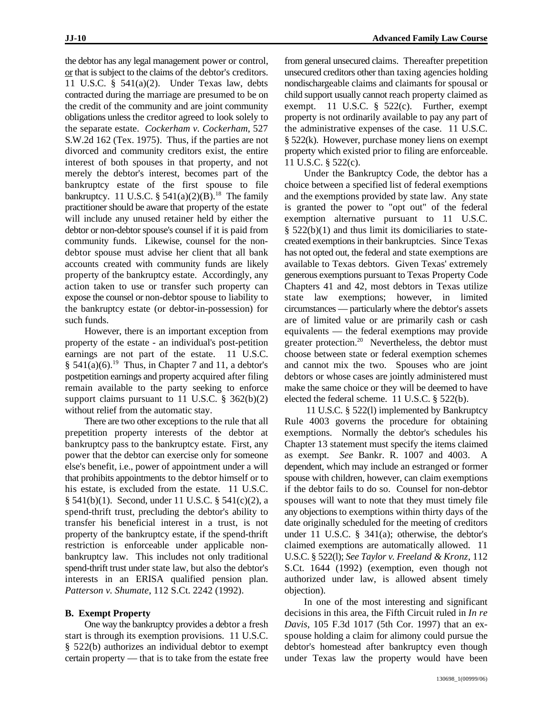the debtor has any legal management power or control, from general unsecured claims. Thereafter prepetition or that is subject to the claims of the debtor's creditors. unsecured creditors other than taxing agencies holding 11 U.S.C. § 541(a)(2). Under Texas law, debts nondischargeable claims and claimants for spousal or contracted during the marriage are presumed to be on child support usually cannot reach property claimed as the credit of the community and are joint community exempt. 11 U.S.C. § 522(c). Further, exempt obligations unlessthe creditor agreed to look solely to property is not ordinarily available to pay any part of the separate estate. *Cockerham v. Cockerham*, 527 the administrative expenses of the case. 11 U.S.C. S.W.2d 162 (Tex. 1975). Thus, if the parties are not § 522(k). However, purchase money liens on exempt divorced and community creditors exist, the entire property which existed prior to filing are enforceable. interest of both spouses in that property, and not  $11 \text{ U.S.C.}$  § 522(c). merely the debtor's interest, becomes part of the Under the Bankruptcy Code, the debtor has a bankruptcy estate of the first spouse to file choice between a specified list of federal exemptions bankruptcy. 11 U.S.C. § 541(a)(2)(B).<sup>18</sup> The family and the exemptions provided by state law. Any state practitioner should be aware that property of the estate is granted the power to "opt out" of the federal will include any unused retainer held by either the exemption alternative pursuant to 11 U.S.C. debtor or non-debtor spouse's counsel if it is paid from  $\S$  522(b)(1) and thus limit its domiciliaries to statecommunity funds. Likewise, counsel for the non- created exemptionsin their bankruptcies. Since Texas debtor spouse must advise her client that all bank has not opted out, the federal and state exemptions are accounts created with community funds are likely available to Texas debtors. Given Texas' extremely property of the bankruptcy estate. Accordingly, any generous exemptions pursuant to Texas Property Code action taken to use or transfer such property can Chapters 41 and 42, most debtors in Texas utilize expose the counsel or non-debtor spouse to liability to state law exemptions; however, in limited the bankruptcy estate (or debtor-in-possession) for circumstances — particularly where the debtor's assets such funds. Are of limited value or are primarily cash or cash are of limited value or are primarily cash or cash

property of the estate - an individual's post-petition greater protection.<sup>20</sup> Nevertheless, the debtor must earnings are not part of the estate. 11 U.S.C. choose between state or federal exemption schemes §  $541(a)(6)$ .<sup>19</sup> Thus, in Chapter 7 and 11, a debtor's and cannot mix the two. Spouses who are joint postpetition earnings and property acquired after filing debtors or whose cases are jointly administered must remain available to the party seeking to enforce make the same choice or they will be deemed to have support claims pursuant to 11 U.S.C.  $\S$  362(b)(2) elected the federal scheme. 11 U.S.C.  $\S$  522(b). without relief from the automatic stay. 11 U.S.C. § 522(1) implemented by Bankruptcy

prepetition property interests of the debtor at exemptions. Normally the debtor's schedules his bankruptcy pass to the bankruptcy estate. First, any Chapter 13 statement must specify the items claimed power that the debtor can exercise only for someone as exempt. *See* Bankr. R. 1007 and 4003. A else's benefit, i.e., power of appointment under a will dependent, which may include an estranged or former that prohibits appointments to the debtor himself or to spouse with children, however, can claim exemptions his estate, is excluded from the estate. 11 U.S.C. if the debtor fails to do so. Counsel for non-debtor § 541(b)(1). Second, under 11 U.S.C. § 541(c)(2), a spouses will want to note that they must timely file spend-thrift trust, precluding the debtor's ability to any objections to exemptions within thirty days of the transfer his beneficial interest in a trust, is not date originally scheduled for the meeting of creditors property of the bankruptcy estate, if the spend-thrift under 11 U.S.C. § 341(a); otherwise, the debtor's restriction is enforceable under applicable non- claimed exemptions are automatically allowed. 11 bankruptcy law. This includes not only traditional U.S.C. § 522(l); *See Taylor v. Freeland & Kronz*, 112 spend-thrift trust under state law, but also the debtor's S.Ct. 1644 (1992) (exemption, even though not interests in an ERISA qualified pension plan. authorized under law, is allowed absent timely *Patterson v. Shumate*, 112 S.Ct. 2242 (1992). objection).

### **B. Exempt Property**

start is through its exemption provisions. 11 U.S.C. spouse holding a claim for alimony could pursue the § 522(b) authorizes an individual debtor to exempt debtor's homestead after bankruptcy even though certain property — that is to take from the estate free under Texas law the property would have been

However, there is an important exception from equivalents — the federal exemptions may provide

There are two other exceptions to the rule that all Rule 4003 governs the procedure for obtaining

One way the bankruptcy provides a debtor a fresh *Davis*, 105 F.3d 1017 (5th Cor. 1997) that an ex-In one of the most interesting and significant decisions in this area, the Fifth Circuit ruled in *In re*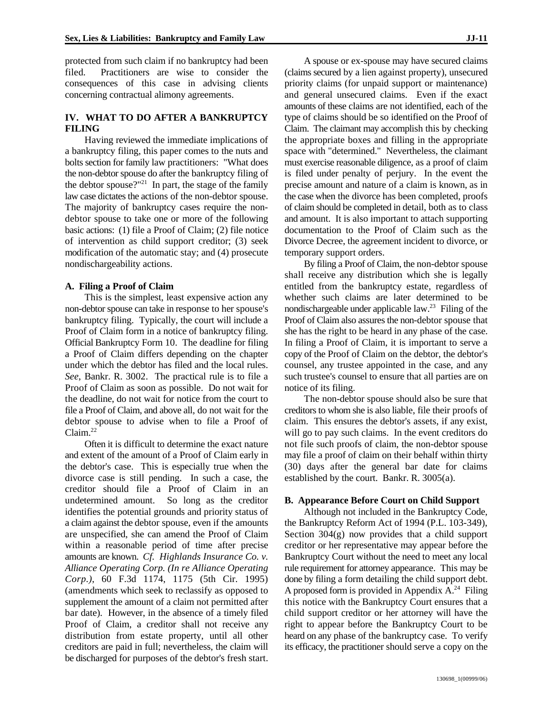protected from such claim if no bankruptcy had been A spouse or ex-spouse may have secured claims consequences of this case in advising clients priority claims (for unpaid support or maintenance)

### **IV. WHAT TO DO AFTER A BANKRUPTCY FILING**

a bankruptcy filing, this paper comes to the nuts and space with "determined." Nevertheless, the claimant bolts section for family law practitioners: "What does must exercise reasonable diligence, as a proof of claim the non-debtor spouse do after the bankruptcy filing of is filed under penalty of perjury. In the event the the debtor spouse?"<sup>21</sup> In part, the stage of the family precise amount and nature of a claim is known, as in law case dictates the actions of the non-debtor spouse. the case when the divorce has been completed, proofs The majority of bankruptcy cases require the non- of claim should be completed in detail, both as to class debtor spouse to take one or more of the following and amount. It is also important to attach supporting basic actions: (1) file a Proof of Claim; (2) file notice documentation to the Proof of Claim such as the of intervention as child support creditor; (3) seek Divorce Decree, the agreement incident to divorce, or modification of the automatic stay; and (4) prosecute temporary support orders. nondischargeability actions. By filing a Proof of Claim, the non-debtor spouse

### **A. Filing a Proof of Claim**

non-debtor spouse can take in response to her spouse's nondischargeable under applicable law.<sup>23</sup> Filing of the bankruptcy filing. Typically, the court will include a Proof of Claim also assures the non-debtor spouse that Proof of Claim form in a notice of bankruptcy filing. she has the right to be heard in any phase of the case. Official Bankruptcy Form 10. The deadline for filing In filing a Proof of Claim, it is important to serve a a Proof of Claim differs depending on the chapter copy of the Proof of Claim on the debtor, the debtor's under which the debtor has filed and the local rules. counsel, any trustee appointed in the case, and any *See*, Bankr. R. 3002. The practical rule is to file a such trustee's counsel to ensure that all parties are on Proof of Claim as soon as possible. Do not wait for notice of its filing. the deadline, do not wait for notice from the court to The non-debtor spouse should also be sure that file a Proof of Claim, and above all, do not wait for the creditorsto whom she is also liable, file their proofs of debtor spouse to advise when to file a Proof of claim. This ensures the debtor's assets, if any exist, Claim.<sup>22</sup>

and extent of the amount of a Proof of Claim early in may file a proof of claim on their behalf within thirty the debtor's case. This is especially true when the (30) days after the general bar date for claims divorce case is still pending. In such a case, the established by the court. Bankr. R. 3005(a). creditor should file a Proof of Claim in an undetermined amount. So long as the creditor identifies the potential grounds and priority status of Although not included in the Bankruptcy Code, a claim against the debtor spouse, even if the amounts the Bankruptcy Reform Act of 1994 (P.L. 103-349), are unspecified, she can amend the Proof of Claim Section 304(g) now provides that a child support within a reasonable period of time after precise creditor or her representative may appear before the amounts are known. *Cf. Highlands Insurance Co. v.* Bankruptcy Court without the need to meet any local *Alliance Operating Corp. (In re Alliance Operating* rule requirement for attorney appearance. This may be *Corp.)*, 60 F.3d 1174, 1175 (5th Cir. 1995) done by filing a form detailing the child support debt. (amendments which seek to reclassify as opposed to supplement the amount of a claim not permitted after this notice with the Bankruptcy Court ensures that a bar date). However, in the absence of a timely filed child support creditor or her attorney will have the Proof of Claim, a creditor shall not receive any right to appear before the Bankruptcy Court to be distribution from estate property, until all other heard on any phase of the bankruptcy case. To verify creditors are paid in full; nevertheless, the claim will its efficacy, the practitioner should serve a copy on the be discharged for purposes of the debtor's fresh start.

filed. Practitioners are wise to consider the (claims secured by a lien against property), unsecured concerning contractual alimony agreements. and general unsecured claims. Even if the exact Having reviewed the immediate implications of the appropriate boxes and filling in the appropriate precise amount and nature of a claim is known, as in amounts of these claims are not identified, each of the type of claims should be so identified on the Proof of Claim. The claimant may accomplish this by checking

This is the simplest, least expensive action any whether such claims are later determined to be shall receive any distribution which she is legally entitled from the bankruptcy estate, regardless of

will go to pay such claims. In the event creditors do Often it is difficult to determine the exact nature not file such proofs of claim, the non-debtor spouse

### **B. Appearance Before Court on Child Support**

A proposed form is provided in Appendix  $A^{24}$ . Filing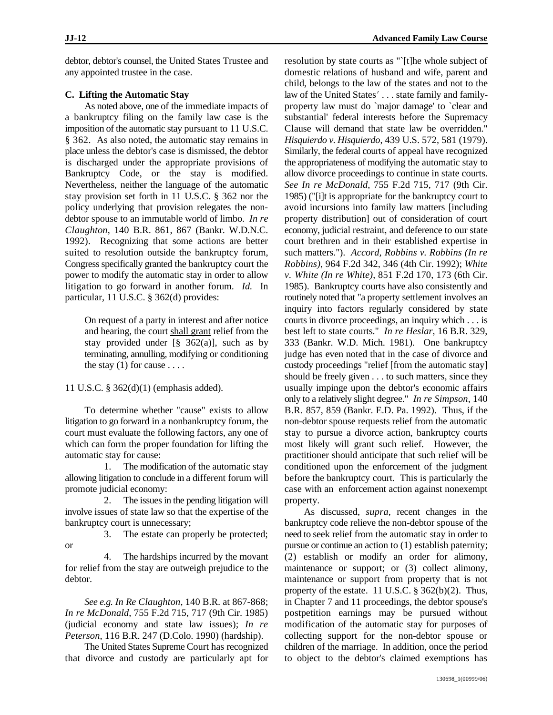any appointed trustee in the case. domestic relations of husband and wife, parent and

### **C. Lifting the Automatic Stay**

a bankruptcy filing on the family law case is the substantial' federal interests before the Supremacy imposition of the automatic stay pursuant to 11 U.S.C. Clause will demand that state law be overridden." § 362. As also noted, the automatic stay remains in *Hisquierdo v. Hisquierdo*, 439 U.S. 572, 581 (1979). place unless the debtor's case is dismissed, the debtor Similarly, the federal courts of appeal have recognized is discharged under the appropriate provisions of the appropriateness of modifying the automatic stay to Bankruptcy Code, or the stay is modified. allow divorce proceedings to continue in state courts. Nevertheless, neither the language of the automatic *See In re McDonald*, 755 F.2d 715, 717 (9th Cir. stay provision set forth in 11 U.S.C. § 362 nor the 1985) ("[i]t is appropriate for the bankruptcy court to policy underlying that provision relegates the non- avoid incursions into family law matters [including debtor spouse to an immutable world of limbo. *In re* property distribution] out of consideration of court *Claughton*, 140 B.R. 861, 867 (Bankr. W.D.N.C. economy, judicial restraint, and deference to our state 1992). Recognizing that some actions are better court brethren and in their established expertise in suited to resolution outside the bankruptcy forum, such matters."). *Accord, Robbins v. Robbins (In re* Congress specifically granted the bankruptcy court the *Robbins)*, 964 F.2d 342, 346 (4th Cir. 1992); *White* power to modify the automatic stay in order to allow *v. White (In re White)*, 851 F.2d 170, 173 (6th Cir. litigation to go forward in another forum. *Id.* In 1985). Bankruptcy courts have also consistently and particular, 11 U.S.C. § 362(d) provides: routinely noted that "a property settlement involves an

litigation to go forward in a nonbankruptcy forum, the non-debtor spouse requests relief from the automatic court must evaluate the following factors, any one of stay to pursue a divorce action, bankruptcy courts which can form the proper foundation for lifting the most likely will grant such relief. However, the automatic stay for cause: practitioner should anticipate that such relief will be

allowing litigation to conclude in a different forum will before the bankruptcy court. This is particularly the promote judicial economy: case with an enforcement action against nonexempt

2. The issues in the pending litigation will property. involve issues of state law so that the expertise of the As discussed, *supra*, recent changes in the bankruptcy court is unnecessary; bankruptcy code relieve the non-debtor spouse of the

for relief from the stay are outweigh prejudice to the maintenance or support; or (3) collect alimony, debtor. maintenance or support from property that is not

*In re McDonald*, 755 F.2d 715, 717 (9th Cir. 1985) postpetition earnings may be pursued without (judicial economy and state law issues); *In re* modification of the automatic stay for purposes of

that divorce and custody are particularly apt for to object to the debtor's claimed exemptions has

debtor, debtor's counsel, the United States Trustee and resolution by state courts as "`[t]he whole subject of As noted above, one of the immediate impacts of property law must do `major damage' to `clear and On request of a party in interest and after notice courts in divorce proceedings, an inquiry which . . . is and hearing, the court shall grant relief from the best left to state courts." *In re Heslar*, 16 B.R. 329, stay provided under [§ 362(a)], such as by 333 (Bankr. W.D. Mich. 1981). One bankruptcy terminating, annulling, modifying or conditioning judge has even noted that in the case of divorce and the stay (1) for cause . . . . custody proceedings "relief [from the automatic stay] 11 U.S.C. § 362(d)(1) (emphasis added). usually impinge upon the debtor's economic affairs To determine whether "cause" exists to allow B.R. 857, 859 (Bankr. E.D. Pa. 1992). Thus, if the 1. The modification of the automatic stay conditioned upon the enforcement of the judgment child, belongs to the law of the states and not to the law of the United States' . . . state family and familyinquiry into factors regularly considered by state should be freely given . . . to such matters, since they only to a relatively slight degree." *In re Simpson*, 140

3. The estate can properly be protected; need to seek relief from the automatic stay in order to or pursue or continue an action to (1) establish paternity; 4. The hardships incurred by the movant (2) establish or modify an order for alimony, *See e.g. In Re Claughton*, 140 B.R. at 867-868; in Chapter 7 and 11 proceedings, the debtor spouse's *Peterson*, 116 B.R. 247 (D.Colo. 1990) (hardship). collecting support for the non-debtor spouse or The United States Supreme Court has recognized children of the marriage. In addition, once the period property of the estate. 11 U.S.C. § 362(b)(2). Thus,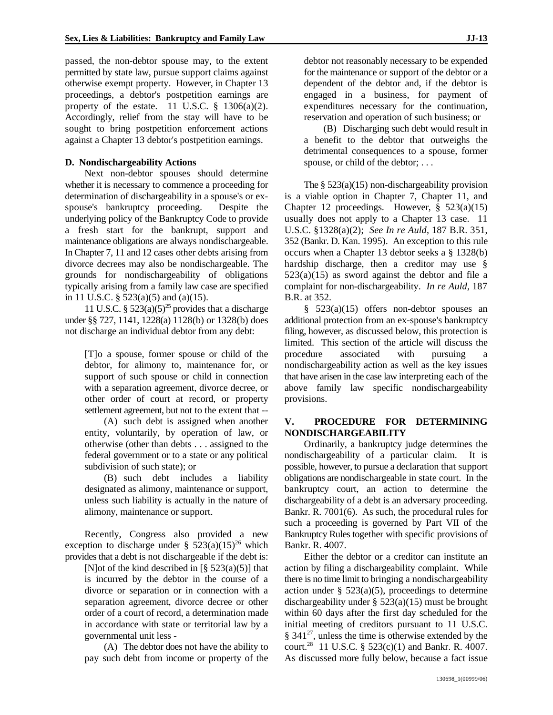passed, the non-debtor spouse may, to the extent debtor not reasonably necessary to be expended permitted by state law, pursue support claims against for the maintenance or support of the debtor or a otherwise exempt property. However, in Chapter 13 dependent of the debtor and, if the debtor is proceedings, a debtor's postpetition earnings are engaged in a business, for payment of property of the estate. 11 U.S.C.  $\S$  1306(a)(2). expenditures necessary for the continuation, Accordingly, relief from the stay will have to be reservation and operation of such business; or sought to bring postpetition enforcement actions (B) Discharging such debt would result in against a Chapter 13 debtor's postpetition earnings. <br>a benefit to the debtor that outweighs the

### **D. Nondischargeability Actions**

Next non-debtor spouses should determine whether it is necessary to commence a proceeding for The  $\S 523(a)(15)$  non-dischargeability provision determination of dischargeability in a spouse's or ex- is a viable option in Chapter 7, Chapter 11, and spouse's bankruptcy proceeding. Despite the Chapter 12 proceedings. However,  $\S$  523(a)(15) underlying policy of the Bankruptcy Code to provide usually does not apply to a Chapter 13 case. 11 a fresh start for the bankrupt, support and U.S.C. §1328(a)(2); *See In re Auld*, 187 B.R. 351, maintenance obligations are always nondischargeable. 352 (Bankr. D. Kan. 1995). An exception to this rule In Chapter 7, 11 and 12 cases other debts arising from occurs when a Chapter 13 debtor seeks a § 1328(b) divorce decrees may also be nondischargeable. The hardship discharge, then a creditor may use § grounds for nondischargeability of obligations  $523(a)(15)$  as sword against the debtor and file a typically arising from a family law case are specified complaint for non-dischargeability. *In re Auld*, 187 in 11 U.S.C. § 523(a)(5) and (a)(15). B.R. at 352.

under §§ 727, 1141, 1228(a) 1128(b) or 1328(b) does additional protection from an ex-spouse's bankruptcy not discharge an individual debtor from any debt: filing, however, as discussed below, this protection is

[T]o a spouse, former spouse or child of the procedure associated with pursuing a other order of court at record, or property provisions. settlement agreement, but not to the extent that --

(A) such debt is assigned when another entity, voluntarily, by operation of law, or

exception to discharge under §  $523(a)(15)^{26}$  which Bankr. R. 4007. providesthat a debt is not dischargeable if the debt is: Either the debtor or a creditor can institute an

detrimental consequences to a spouse, former spouse, or child of the debtor; ...

11 U.S.C. §  $523(a)(5)^{25}$  provides that a discharge  $\qquad$  §  $523(a)(15)$  offers non-debtor spouses an debtor, for alimony to, maintenance for, or nondischargeability action as well as the key issues support of such spouse or child in connection that have arisen in the case law interpreting each of the with a separation agreement, divorce decree, or above family law specific nondischargeability limited. This section of the article will discuss the

### **V. PROCEDURE FOR DETERMINING NONDISCHARGEABILITY**

otherwise (other than debts . . . assigned to the Ordinarily, a bankruptcy judge determines the federal government or to a state or any political nondischargeability of a particular claim. It is subdivision of such state); or possible, however, to pursue a declaration that support (B) such debt includes a liability obligations are nondischargeable in state court. In the designated as alimony, maintenance or support, bankruptcy court, an action to determine the unless such liability is actually in the nature of dischargeability of a debt is an adversary proceeding. alimony, maintenance or support. Bankr. R. 7001(6). As such, the procedural rules for Recently, Congress also provided a new Bankruptcy Rulestogether with specific provisions of such a proceeding is governed by Part VII of the

[N]ot of the kind described in [§  $523(a)(5)$ ] that action by filing a dischargeability complaint. While is incurred by the debtor in the course of a there is no time limit to bringing a nondischargeability divorce or separation or in connection with a action under  $\S$  523(a)(5), proceedings to determine separation agreement, divorce decree or other dischargeability under  $\S$  523(a)(15) must be brought order of a court of record, a determination made within 60 days after the first day scheduled for the in accordance with state or territorial law by a initial meeting of creditors pursuant to 11 U.S.C. governmental unit less -  $\S 341^{27}$ , unless the time is otherwise extended by the (A) The debtor does not have the ability to court.<sup>28</sup> 11 U.S.C. § 523(c)(1) and Bankr. R. 4007. pay such debt from income or property of the As discussed more fully below, because a fact issue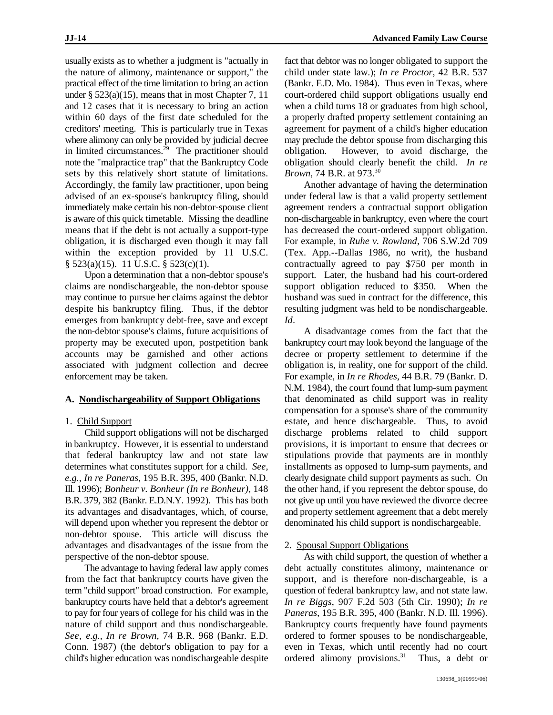usually exists as to whether a judgment is "actually in fact that debtor was no longer obligated to support the the nature of alimony, maintenance or support," the child under state law.); *In re Proctor*, 42 B.R. 537 practical effect of the time limitation to bring an action (Bankr. E.D. Mo. 1984). Thus even in Texas, where under § 523(a)(15), means that in most Chapter 7, 11 court-ordered child support obligations usually end and 12 cases that it is necessary to bring an action when a child turns 18 or graduates from high school, within 60 days of the first date scheduled for the a properly drafted property settlement containing an creditors' meeting. This is particularly true in Texas agreement for payment of a child's higher education where alimony can only be provided by judicial decree may preclude the debtor spouse from discharging this in limited circumstances.<sup>29</sup> The practitioner should obligation. However, to avoid discharge, the note the "malpractice trap" that the Bankruptcy Code obligation should clearly benefit the child. *In re* sets by this relatively short statute of limitations. Accordingly, the family law practitioner, upon being Another advantage of having the determination advised of an ex-spouse's bankruptcy filing, should under federal law is that a valid property settlement immediately make certain his non-debtor-spouse client agreement renders a contractual support obligation is aware of this quick timetable. Missing the deadline non-dischargeable in bankruptcy, even where the court means that if the debt is not actually a support-type has decreased the court-ordered support obligation. obligation, it is discharged even though it may fall For example, in *Ruhe v. Rowland*, 706 S.W.2d 709 within the exception provided by 11 U.S.C. (Tex. App.--Dallas 1986, no writ), the husband §  $523(a)(15)$ . 11 U.S.C. §  $523(c)(1)$ . contractually agreed to pay \$750 per month in

claims are nondischargeable, the non-debtor spouse support obligation reduced to \$350. When the may continue to pursue her claims against the debtor husband was sued in contract for the difference, this despite his bankruptcy filing. Thus, if the debtor resulting judgment was held to be nondischargeable. emerges from bankruptcy debt-free, save and except *Id*. the non-debtor spouse's claims, future acquisitions of A disadvantage comes from the fact that the property may be executed upon, postpetition bank bankruptcy court may look beyond the language of the accounts may be garnished and other actions decree or property settlement to determine if the associated with judgment collection and decree obligation is, in reality, one for support of the child. enforcement may be taken. For example, in *In re Rhodes*, 44 B.R. 79 (Bankr. D.

### **A. Nondischargeability of Support Obligations**

in bankruptcy. However, it is essential to understand provisions, it is important to ensure that decrees or that federal bankruptcy law and not state law stipulations provide that payments are in monthly determines what constitutes support for a child. *See,* installments as opposed to lump-sum payments, and *e.g., In re Paneras*, 195 B.R. 395, 400 (Bankr. N.D. clearly designate child support payments as such. On Ill. 1996); *Bonheur v. Bonheur (In re Bonheur)*, 148 the other hand, if you represent the debtor spouse, do B.R. 379, 382 (Bankr. E.D.N.Y. 1992). This has both not give up until you have reviewed the divorce decree its advantages and disadvantages, which, of course, and property settlement agreement that a debt merely will depend upon whether you represent the debtor or denominated his child support is nondischargeable. non-debtor spouse. This article will discuss the advantages and disadvantages of the issue from the 2. Spousal Support Obligations perspective of the non-debtor spouse. As with child support, the question of whether a

from the fact that bankruptcy courts have given the support, and is therefore non-dischargeable, is a term "child support" broad construction. For example, question of federal bankruptcy law, and not state law. bankruptcy courts have held that a debtor's agreement *In re Biggs*, 907 F.2d 503 (5th Cir. 1990); *In re* to pay for four years of college for his child was in the *Paneras*, 195 B.R. 395, 400 (Bankr. N.D. Ill. 1996). nature of child support and thus nondischargeable. Bankruptcy courts frequently have found payments *See, e.g., In re Brown*, 74 B.R. 968 (Bankr. E.D. ordered to former spouses to be nondischargeable, Conn. 1987) (the debtor's obligation to pay for a even in Texas, which until recently had no court

Brown, 74 B.R. at 973.<sup>30</sup>

Upon a determination that a non-debtor spouse's support. Later, the husband had his court-ordered

1. Child Support estate, and hence dischargeable. Thus, to avoid Child support obligations will not be discharged discharge problems related to child support N.M. 1984), the court found that lump-sum payment that denominated as child support was in reality compensation for a spouse's share of the community

The advantage to having federal law apply comes debt actually constitutes alimony, maintenance or child's higher education was nondischargeable despite ordered alimony provisions.<sup>31</sup> Thus, a debt or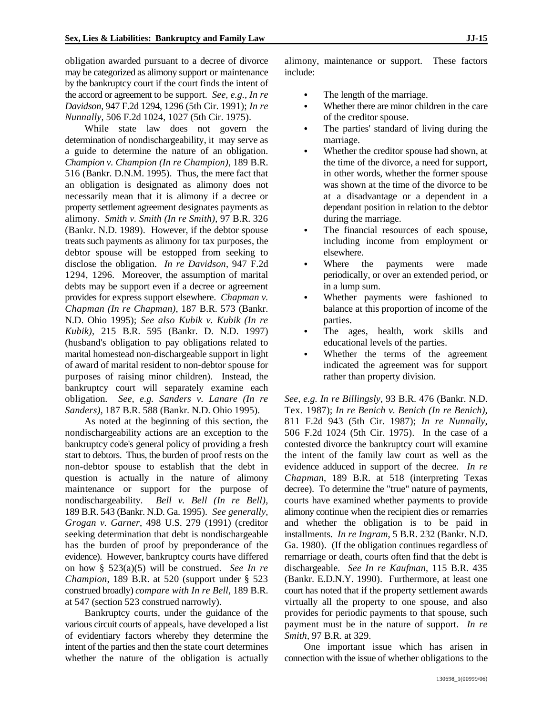may be categorized as alimony support or maintenance include: by the bankruptcy court if the court finds the intent of the accord or agreement to be support. *See, e.g., In re* The length of the marriage. *Davidson*, 947 F.2d 1294, 1296 (5th Cir. 1991); *In re* Whether there are minor children in the care *Nunnally*, 506 F.2d 1024, 1027 (5th Cir. 1975). of the creditor spouse.

While state law does not govern the • The parties' standard of living during the determination of nondischargeability, it may serve as marriage. a guide to determine the nature of an obligation.  $\bullet$  Whether the creditor spouse had shown, at *Champion v. Champion (In re Champion)*, 189 B.R. the time of the divorce, a need for support, 516 (Bankr. D.N.M. 1995). Thus, the mere fact that in other words, whether the former spouse an obligation is designated as alimony does not was shown at the time of the divorce to be necessarily mean that it is alimony if a decree or at a disadvantage or a dependent in a property settlement agreement designates payments as dependant position in relation to the debtor alimony. *Smith v. Smith (In re Smith)*, 97 B.R. 326 during the marriage. (Bankr. N.D. 1989). However, if the debtor spouse  $\bullet$  The financial resources of each spouse, treats such payments as alimony for tax purposes, the including income from employment or debtor spouse will be estopped from seeking to elsewhere. disclose the obligation. *In re Davidson*, 947 F.2d • Where the payments were made 1294, 1296. Moreover, the assumption of marital periodically, or over an extended period, or debts may be support even if a decree or agreement in a lump sum. provides for express support elsewhere. *Chapman v*. • Whether payments were fashioned to *Chapman (In re Chapman)*, 187 B.R. 573 (Bankr. balance at this proportion of income of the N.D. Ohio 1995); *See also Kubik v. Kubik (In re* parties. *Kubik*), 215 B.R. 595 (Bankr. D. N.D. 1997) • The ages, health, work skills and (husband's obligation to pay obligations related to educational levels of the parties. marital homestead non-dischargeable support in light **COM** Whether the terms of the agreement of award of marital resident to non-debtor spouse for indicated the agreement was for support purposes of raising minor children). Instead, the rather than property division. bankruptcy court will separately examine each obligation. *See, e.g. Sanders v. Lanare (In re See, e.g. In re Billingsly*, 93 B.R. 476 (Bankr. N.D. *Sanders)*, 187 B.R. 588 (Bankr. N.D. Ohio 1995). Tex. 1987); *In re Benich v. Benich (In re Benich)*,

nondischargeability actions are an exception to the 506 F.2d 1024 (5th Cir. 1975). In the case of a bankruptcy code's general policy of providing a fresh contested divorce the bankruptcy court will examine start to debtors. Thus, the burden of proof rests on the the intent of the family law court as well as the non-debtor spouse to establish that the debt in evidence adduced in support of the decree. *In re* question is actually in the nature of alimony *Chapman*, 189 B.R. at 518 (interpreting Texas maintenance or support for the purpose of decree). To determine the "true" nature of payments, nondischargeability. *Bell v. Bell (In re Bell)*, courts have examined whether payments to provide 189 B.R. 543 (Bankr. N.D. Ga. 1995). *See generally,* alimony continue when the recipient dies or remarries *Grogan v. Garner*, 498 U.S. 279 (1991) (creditor and whether the obligation is to be paid in seeking determination that debt is nondischargeable installments. *In re Ingram*, 5 B.R. 232 (Bankr. N.D. has the burden of proof by preponderance of the Ga. 1980). (If the obligation continues regardless of evidence). However, bankruptcy courts have differed remarriage or death, courts often find that the debt is on how § 523(a)(5) will be construed. *See In re* dischargeable. *See In re Kaufman*, 115 B.R. 435 *Champion*, 189 B.R. at 520 (support under § 523 (Bankr. E.D.N.Y. 1990). Furthermore, at least one construed broadly) *compare with In re Bell*, 189 B.R. court has noted that if the property settlement awards at 547 (section 523 construed narrowly).  $\frac{1}{2}$  wirtually all the property to one spouse, and also

various circuit courts of appeals, have developed a list payment must be in the nature of support. *In re* of evidentiary factors whereby they determine the *Smith*, 97 B.R. at 329. intent of the parties and then the state court determines One important issue which has arisen in whether the nature of the obligation is actually connection with the issue of whether obligations to the

obligation awarded pursuant to a decree of divorce alimony, maintenance or support. These factors

- 
- 
- 
- 
- 
- 
- 
- 
- 

As noted at the beginning of this section, the 811 F.2d 943 (5th Cir. 1987); *In re Nunnally*, virtually all the property to one spouse, and also Bankruptcy courts, under the guidance of the provides for periodic payments to that spouse, such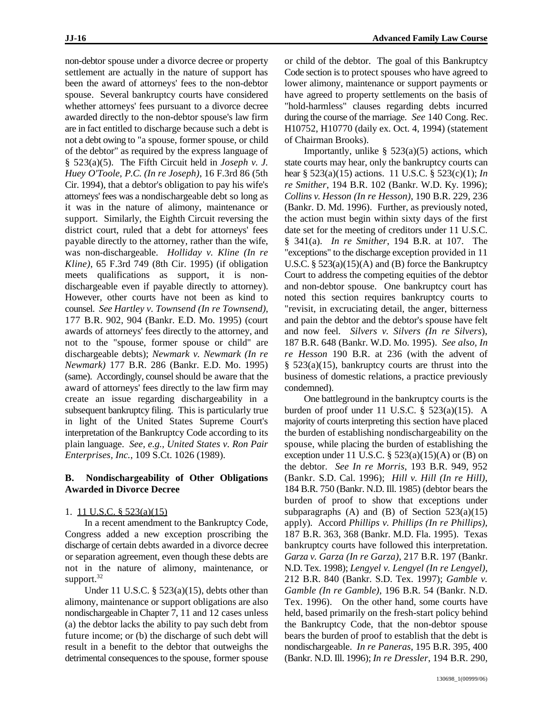settlement are actually in the nature of support has Code section is to protect spouses who have agreed to been the award of attorneys' fees to the non-debtor lower alimony, maintenance or support payments or spouse. Several bankruptcy courts have considered have agreed to property settlements on the basis of whether attorneys' fees pursuant to a divorce decree "hold-harmless" clauses regarding debts incurred awarded directly to the non-debtor spouse's law firm during the course of the marriage. *See* 140 Cong. Rec. are in fact entitled to discharge because such a debt is H10752, H10770 (daily ex. Oct. 4, 1994) (statement not a debt owing to "a spouse, former spouse, or child of Chairman Brooks). of the debtor" as required by the express language of Importantly, unlike  $\S$  523(a)(5) actions, which § 523(a)(5). The Fifth Circuit held in *Joseph v. J.* state courts may hear, only the bankruptcy courts can *Huey O'Toole, P.C. (In re Joseph)*, 16 F.3rd 86 (5th hear § 523(a)(15) actions. 11 U.S.C. § 523(c)(1); *In* Cir. 1994), that a debtor's obligation to pay his wife's *re Smither*, 194 B.R. 102 (Bankr. W.D. Ky. 1996); attorneys' fees was a nondischargeable debt so long as *Collins v. Hesson (In re Hesson)*, 190 B.R. 229, 236 it was in the nature of alimony, maintenance or (Bankr. D. Md. 1996). Further, as previously noted, support. Similarly, the Eighth Circuit reversing the the action must begin within sixty days of the first district court, ruled that a debt for attorneys' fees date set for the meeting of creditors under 11 U.S.C. payable directly to the attorney, rather than the wife, § 341(a). *In re Smither*, 194 B.R. at 107. The was non-dischargeable. *Holliday v. Kline (In re* "exceptions" to the discharge exception provided in 11 *Kline*), 65 F.3rd 749 (8th Cir. 1995) (if obligation U.S.C. §  $523(a)(15)(A)$  and (B) force the Bankruptcy meets qualifications as support, it is non- Court to address the competing equities of the debtor dischargeable even if payable directly to attorney). and non-debtor spouse. One bankruptcy court has However, other courts have not been as kind to noted this section requires bankruptcy courts to counsel. *See Hartley v. Townsend (In re Townsend)*, "revisit, in excruciating detail, the anger, bitterness 177 B.R. 902, 904 (Bankr. E.D. Mo. 1995) (court and pain the debtor and the debtor's spouse have felt awards of attorneys' fees directly to the attorney, and and now feel. *Silvers v. Silvers (In re Silvers*), not to the "spouse, former spouse or child" are 187 B.R. 648 (Bankr. W.D. Mo. 1995). *See also, In* dischargeable debts); *Newmark v. Newmark (In re re Hesson* 190 B.R. at 236 (with the advent of *Newmark*) 177 B.R. 286 (Bankr. E.D. Mo. 1995) § 523(a)(15), bankruptcy courts are thrust into the (same). Accordingly, counsel should be aware that the business of domestic relations, a practice previously award of attorneys' fees directly to the law firm may condemned). create an issue regarding dischargeability in a One battleground in the bankruptcy courts is the subsequent bankruptcy filing. This is particularly true burden of proof under 11 U.S.C. § 523(a)(15). A in light of the United States Supreme Court's majority of courts interpreting this section have placed interpretation of the Bankruptcy Code according to its the burden of establishing nondischargeability on the plain language. *See, e.g., United States v. Ron Pair* spouse, while placing the burden of establishing the *Enterprises, Inc.*, 109 S.Ct. 1026 (1989). exception under 11 U.S.C. § 523(a)(15)(A) or (B) on

### **B. Nondischargeability of Other Obligations Awarded in Divorce Decree**

Congress added a new exception proscribing the 187 B.R. 363, 368 (Bankr. M.D. Fla. 1995). Texas discharge of certain debts awarded in a divorce decree bankruptcy courts have followed this interpretation. or separation agreement, even though these debts are *Garza v. Garza (In re Garza)*, 217 B.R. 197 (Bankr. not in the nature of alimony, maintenance, or N.D. Tex. 1998); *Lengyel v. Lengyel (In re Lengyel)*, support.<sup>32</sup>

alimony, maintenance or support obligations are also Tex. 1996). On the other hand, some courts have nondischargeable in Chapter 7, 11 and 12 cases unless held, based primarily on the fresh-start policy behind (a) the debtor lacks the ability to pay such debt from the Bankruptcy Code, that the non-debtor spouse future income; or (b) the discharge of such debt will bears the burden of proof to establish that the debt is result in a benefit to the debtor that outweighs the nondischargeable. *In re Paneras*, 195 B.R. 395, 400 detrimental consequencesto the spouse, former spouse (Bankr. N.D. Ill. 1996); *In re Dressler*, 194 B.R. 290,

non-debtor spouse under a divorce decree or property or child of the debtor. The goal of this Bankruptcy

1. 11 U.S.C. § 523(a)(15) subparagraphs (A) and (B) of Section 523(a)(15) In a recent amendment to the Bankruptcy Code, apply). Accord *Phillips v. Phillips (In re Phillips)*, 212 B.R. 840 (Bankr. S.D. Tex. 1997); *Gamble v.* Under 11 U.S.C. § 523(a)(15), debts other than *Gamble (In re Gamble)*, 196 B.R. 54 (Bankr. N.D. the debtor. *See In re Morris*, 193 B.R. 949, 952 (Bankr. S.D. Cal. 1996); *Hill v. Hill (In re Hill)*, 184 B.R. 750 (Bankr. N.D. Ill. 1985) (debtor bears the burden of proof to show that exceptions under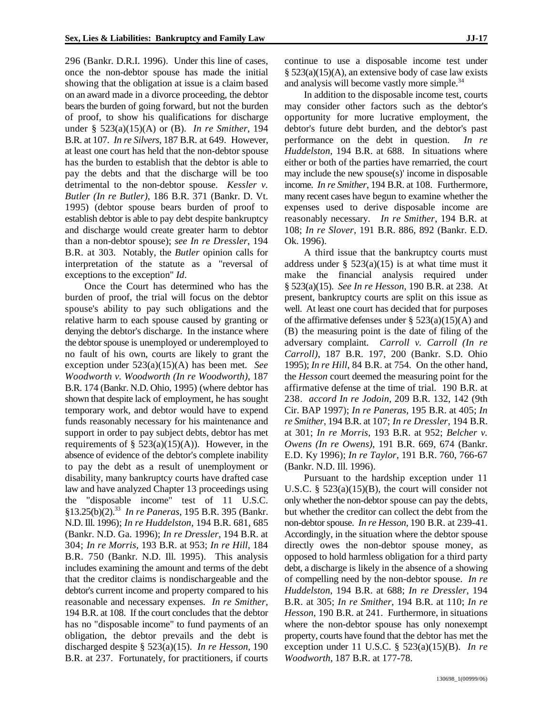296 (Bankr. D.R.I. 1996). Under this line of cases, continue to use a disposable income test under once the non-debtor spouse has made the initial  $\S 523(a)(15)(A)$ , an extensive body of case law exists showing that the obligation at issue is a claim based on an award made in a divorce proceeding, the debtor In addition to the disposable income test, courts bears the burden of going forward, but not the burden may consider other factors such as the debtor's of proof, to show his qualifications for discharge opportunity for more lucrative employment, the under § 523(a)(15)(A) or (B). *In re Smither*, 194 debtor's future debt burden, and the debtor's past B.R. at 107. *In re Silvers*, 187 B.R. at 649. However, performance on the debt in question. *In re* at least one court has held that the non-debtor spouse *Huddelston*, 194 B.R. at 688. In situations where has the burden to establish that the debtor is able to either or both of the parties have remarried, the court pay the debts and that the discharge will be too may include the new spouse(s)' income in disposable detrimental to the non-debtor spouse. *Kessler v.* income. *In re Smither*, 194 B.R. at 108. Furthermore, *Butler (In re Butler)*, 186 B.R. 371 (Bankr. D. Vt. many recent cases have begun to examine whether the 1995) (debtor spouse bears burden of proof to expenses used to derive disposable income are establish debtor is able to pay debt despite bankruptcy reasonably necessary. *In re Smither*, 194 B.R. at and discharge would create greater harm to debtor 108; *In re Slover*, 191 B.R. 886, 892 (Bankr. E.D. than a non-debtor spouse); *see In re Dressler*, 194 Ok. 1996). B.R. at 303. Notably, the *Butler* opinion calls for A third issue that the bankruptcy courts must interpretation of the statute as a "reversal of address under  $\S$  523(a)(15) is at what time must it exceptions to the exception" *Id*. make the financial analysis required under

burden of proof, the trial will focus on the debtor present, bankruptcy courts are split on this issue as spouse's ability to pay such obligations and the well. At least one court has decided that for purposes relative harm to each spouse caused by granting or of the affirmative defenses under  $\S 523(a)(15)(A)$  and denying the debtor's discharge. In the instance where (B) the measuring point is the date of filing of the the debtor spouse is unemployed or underemployed to adversary complaint. *Carroll v. Carroll (In re* no fault of his own, courts are likely to grant the *Carroll)*, 187 B.R. 197, 200 (Bankr. S.D. Ohio exception under 523(a)(15)(A) has been met. *See* 1995); *In re Hill*, 84 B.R. at 754. On the other hand, *Woodworth v. Woodworth (In re Woodworth)*, 187 the *Hesson* court deemed the measuring point for the B.R. 174 (Bankr. N.D. Ohio, 1995) (where debtor has affirmative defense at the time of trial. 190 B.R. at shown that despite lack of employment, he has sought 238. *accord In re Jodoin*, 209 B.R. 132, 142 (9th temporary work, and debtor would have to expend Cir. BAP 1997); *In re Paneras*, 195 B.R. at 405; *In* funds reasonably necessary for his maintenance and *re Smither*, 194 B.R. at 107; *In re Dressler*, 194 B.R. support in order to pay subject debts, debtor has met at 301; *In re Morris*, 193 B.R. at 952; *Belcher v.* requirements of § 523(a)(15)(A)). However, in the *Owens (In re Owens)*, 191 B.R. 669, 674 (Bankr. absence of evidence of the debtor's complete inability E.D. Ky 1996); *In re Taylor*, 191 B.R. 760, 766-67 to pay the debt as a result of unemployment or (Bankr. N.D. Ill. 1996). disability, many bankruptcy courts have drafted case Pursuant to the hardship exception under 11 law and have analyzed Chapter 13 proceedings using U.S.C. § 523(a)(15)(B), the court will consider not the "disposable income" test of 11 U.S.C. only whether the non-debtor spouse can pay the debts, §13.25(b)(2).<sup>33</sup> In re Paneras, 195 B.R. 395 (Bankr. but whether the creditor can collect the debt from the N.D. Ill. 1996); *In re Huddelston*, 194 B.R. 681, 685 non-debtorspouse. *In re Hesson*, 190 B.R. at 239-41. (Bankr. N.D. Ga. 1996); *In re Dressler*, 194 B.R. at Accordingly, in the situation where the debtor spouse 304; *In re Morris*, 193 B.R. at 953; *In re Hill*, 184 directly owes the non-debtor spouse money, as B.R. 750 (Bankr. N.D. Ill. 1995). This analysis opposed to hold harmless obligation for a third party includes examining the amount and terms of the debt debt, a discharge is likely in the absence of a showing that the creditor claims is nondischargeable and the of compelling need by the non-debtor spouse. *In re* debtor's current income and property compared to his *Huddelston*, 194 B.R. at 688; *In re Dressler*, 194 reasonable and necessary expenses. *In re Smither*, B.R. at 305; *In re Smither*, 194 B.R. at 110; *In re* 194 B.R. at 108. If the court concludes that the debtor *Hesson*, 190 B.R. at 241. Furthermore, in situations has no "disposable income" to fund payments of an where the non-debtor spouse has only nonexempt obligation, the debtor prevails and the debt is property, courts have found that the debtor has met the discharged despite § 523(a)(15). *In re Hesson*, 190 exception under 11 U.S.C. § 523(a)(15)(B). *In re* B.R. at 237. Fortunately, for practitioners, if courts *Woodworth*, 187 B.R. at 177-78.

and analysis will become vastly more simple.<sup>34</sup>

Once the Court has determined who has the § 523(a)(15). *See In re Hesson*, 190 B.R. at 238. At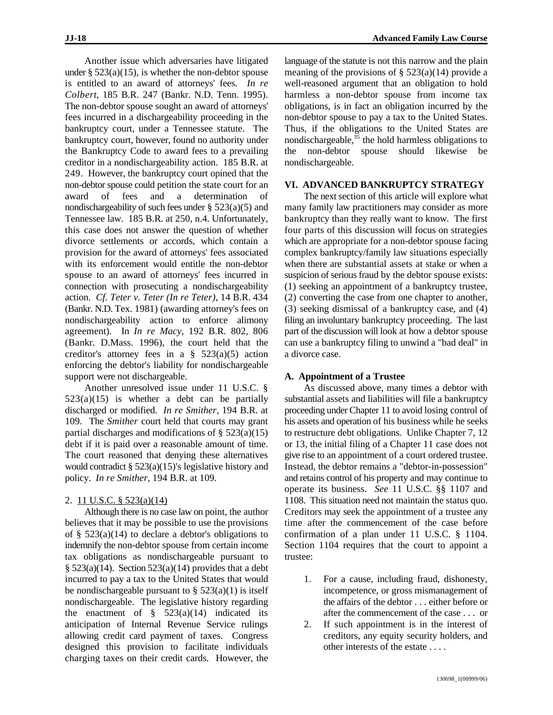under § 523(a)(15), is whether the non-debtor spouse meaning of the provisions of § 523(a)(14) provide a is entitled to an award of attorneys' fees. *In re* well-reasoned argument that an obligation to hold *Colbert*, 185 B.R. 247 (Bankr. N.D. Tenn. 1995). harmless a non-debtor spouse from income tax The non-debtor spouse sought an award of attorneys' obligations, is in fact an obligation incurred by the fees incurred in a dischargeability proceeding in the non-debtor spouse to pay a tax to the United States. bankruptcy court, under a Tennessee statute. The Thus, if the obligations to the United States are bankruptcy court, however, found no authority under the Bankruptcy Code to award fees to a prevailing the non-debtor spouse should likewise be creditor in a nondischargeability action. 185 B.R. at nondischargeable. 249. However, the bankruptcy court opined that the non-debtor spouse could petition the state court for an award of fees and a determination of The next section of this article will explore what nondischargeability of such fees under  $\S 523(a)(5)$  and many family law practitioners may consider as more Tennessee law. 185 B.R. at 250, n.4. Unfortunately, bankruptcy than they really want to know. The first this case does not answer the question of whether four parts of this discussion will focus on strategies divorce settlements or accords, which contain a which are appropriate for a non-debtor spouse facing provision for the award of attorneys' fees associated complex bankruptcy/family law situations especially with its enforcement would entitle the non-debtor when there are substantial assets at stake or when a spouse to an award of attorneys' fees incurred in suspicion of serious fraud by the debtor spouse exists: connection with prosecuting a nondischargeability (1) seeking an appointment of a bankruptcy trustee, action. *Cf. Teter v. Teter (In re Teter)*, 14 B.R. 434 (2) converting the case from one chapter to another, (Bankr. N.D. Tex. 1981) (awarding attorney's fees on (3) seeking dismissal of a bankruptcy case, and (4) nondischargeability action to enforce alimony filing an involuntary bankruptcy proceeding. The last agreement). In *In re Macy*, 192 B.R. 802, 806 part of the discussion will look at how a debtor spouse (Bankr. D.Mass. 1996), the court held that the can use a bankruptcy filing to unwind a "bad deal" in creditor's attorney fees in a  $\S$  523(a)(5) action a divorce case. enforcing the debtor's liability for nondischargeable support were not dischargeable.

 $523(a)(15)$  is whether a debt can be partially substantial assets and liabilities will file a bankruptcy discharged or modified. *In re Smither*, 194 B.R. at proceeding under Chapter 11 to avoid losing control of 109. The *Smither* court held that courts may grant his assets and operation of his business while he seeks partial discharges and modifications of  $\S 523(a)(15)$  to restructure debt obligations. Unlike Chapter 7, 12 debt if it is paid over a reasonable amount of time. or 13, the initial filing of a Chapter 11 case does not The court reasoned that denying these alternatives give rise to an appointment of a court ordered trustee. would contradict § 523(a)(15)'s legislative history and Instead, the debtor remains a "debtor-in-possession" policy. *In re Smither*, 194 B.R. at 109. and retains control of his property and may continue to

believes that it may be possible to use the provisions time after the commencement of the case before of § 523(a)(14) to declare a debtor's obligations to confirmation of a plan under 11 U.S.C. § 1104. indemnify the non-debtor spouse from certain income Section 1104 requires that the court to appoint a tax obligations as nondischargeable pursuant to trustee:  $§ 523(a)(14)$ . Section 523(a)(14) provides that a debt incurred to pay a tax to the United States that would 1. For a cause, including fraud, dishonesty, be nondischargeable pursuant to  $\S 523(a)(1)$  is itself incompetence, or gross mismanagement of nondischargeable. The legislative history regarding the affairs of the debtor . . . either before or the enactment of §  $523(a)(14)$  indicated its after the commencement of the case ... or anticipation of Internal Revenue Service rulings 2. If such appointment is in the interest of allowing credit card payment of taxes. Congress creditors, any equity security holders, and designed this provision to facilitate individuals other interests of the estate .... charging taxes on their credit cards. However, the

Another issue which adversaries have litigated language of the statute is not this narrow and the plain nondischargeable,  $35$  the hold harmless obligations to

### **VI. ADVANCED BANKRUPTCY STRATEGY**

### **A. Appointment of a Trustee**

Another unresolved issue under 11 U.S.C.  $\S$  As discussed above, many times a debtor with 2.  $11 \text{ U.S.C. } $ 523(a)(14)$  1108. This situation need not maintain the status quo. Although there is no case law on point, the author Creditors may seek the appointment of a trustee any operate its business. *See* 11 U.S.C. §§ 1107 and

- 
-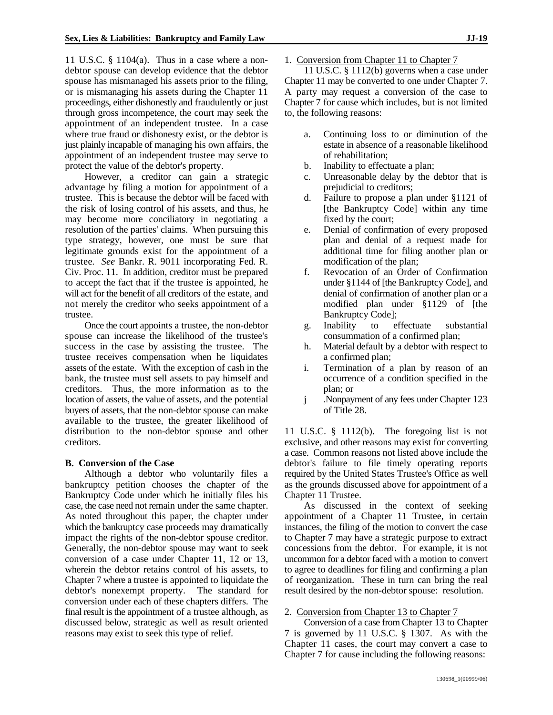11 U.S.C. § 1104(a). Thus in a case where a non-<br>debtor spouse can develop evidence that the debtor  $11 \text{ U.S.C.}$  § 1112(b) governs when a case under debtor spouse can develop evidence that the debtor through gross incompetence, the court may seek the to, the following reasons: appointment of an independent trustee. In a case where true fraud or dishonesty exist, or the debtor is a. Continuing loss to or diminution of the just plainly incapable of managing his own affairs, the estate in absence of a reasonable likelihood appointment of an independent trustee may serve to of rehabilitation; protect the value of the debtor's property. b. Inability to effectuate a plan;

However, a creditor can gain a strategic c. Unreasonable delay by the debtor that is advantage by filing a motion for appointment of a prejudicial to creditors; trustee. This is because the debtor will be faced with d. Failure to propose a plan under §1121 of the risk of losing control of his assets, and thus, he [the Bankruptcy Code] within any time the risk of losing control of his assets, and thus, he may become more conciliatory in negotiating a fixed by the court; resolution of the parties' claims. When pursuing this e. Denial of confirmation of every proposed type strategy, however, one must be sure that plan and denial of a request made for legitimate grounds exist for the appointment of a additional time for filing another plan or trustee. *See* Bankr. R. 9011 incorporating Fed. R. modification of the plan; Civ. Proc. 11. In addition, creditor must be prepared f. Revocation of an Order of Confirmation to accept the fact that if the trustee is appointed, he under §1144 of [the Bankruptcy Code], and will act for the benefit of all creditors of the estate, and denial of confirmation of another plan or a not merely the creditor who seeks appointment of a modified plan under §1129 of [the trustee. Bankruptcy Code];

Once the court appoints a trustee, the non-debtor g. Inability to effectuate substantial spouse can increase the likelihood of the trustee's consummation of a confirmed plan; success in the case by assisting the trustee. The h. Material default by a debtor with respect to trustee receives compensation when he liquidates a confirmed plan; assets of the estate. With the exception of cash in the i. Termination of a plan by reason of an bank, the trustee must sell assets to pay himself and occurrence of a condition specified in the creditors. Thus, the more information as to the plan; or location of assets, the value of assets, and the potential j .Nonpayment of any fees under Chapter 123 buyers of assets, that the non-debtor spouse can make of Title 28. available to the trustee, the greater likelihood of distribution to the non-debtor spouse and other 11 U.S.C. § 1112(b). The foregoing list is not exclusive, and other reasons may exist for converting

bankruptcy petition chooses the chapter of the as the grounds discussed above for appointment of a Bankruptcy Code under which he initially files his Chapter 11 Trustee.<br>
case, the case need not remain under the same chapter. As discussed in the context of seeking case, the case need not remain under the same chapter. As discussed in the context of seeking As noted throughout this paper, the chapter under appointment of a Chapter 11 Trustee, in certain As noted throughout this paper, the chapter under which the bankruptcy case proceeds may dramatically instances, the filing of the motion to convert the case impact the rights of the non-debtor spouse creditor. to Chapter 7 may have a strategic purpose to extract<br>Generally, the non-debtor spouse may want to seek concessions from the debtor. For example, it is not Generally, the non-debtor spouse may want to seek conversion of a case under Chapter 11, 12 or 13, uncommon for a debtor faced with a motion to convert wherein the debtor retains control of his assets, to to agree to deadlines for filing and confirming a plan Chapter 7 where a trustee is appointed to liquidate the of reorganization. These in turn can bring the real debtor's nonexempt property. The standard for result desired by the non-debtor spouse: resolution. conversion under each of these chapters differs. The final result is the appointment of a trustee although, as 2. Conversion from Chapter 13 to Chapter 7 discussed below, strategic as well as result oriented Conversion of a case from Chapter 13 to Chapter

spouse has mismanaged his assets prior to the filing, Chapter 11 may be converted to one under Chapter 7. or is mismanaging his assets during the Chapter 11 A party may request a conversion of the case to proceedings, either dishonestly and fraudulently or just Chapter 7 for cause which includes, but is not limited

- 
- 
- 
- 
- 
- 
- 
- 
- 
- 

exclusive, and other reasons may exist for converting **B. Conversion of the Case** debtor's failure to file timely operating reports Although a debtor who voluntarily files a required by the United States Trustee's Office as well a case. Common reasons not listed above include the

reasons may exist to seek this type of relief. 7 is governed by 11 U.S.C. § 1307. As with the Chapter 11 cases, the court may convert a case to Chapter 7 for cause including the following reasons: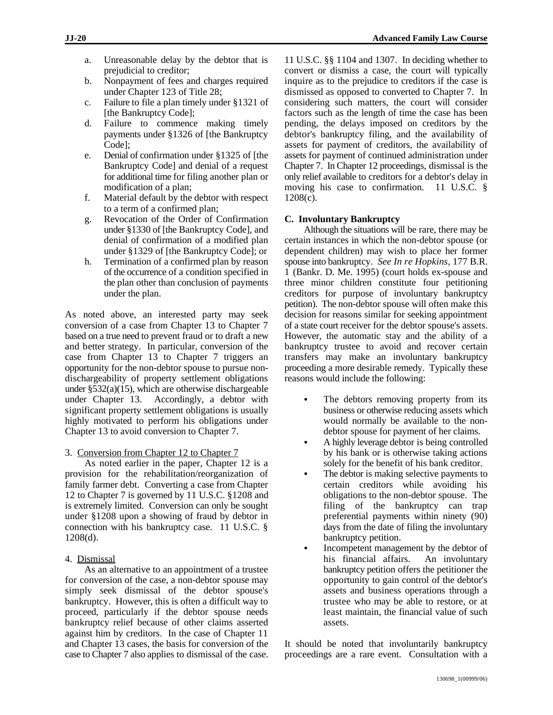- 
- 
- 
- 
- 
- f. Material default by the debtor with respect  $1208(c)$ . to a term of a confirmed plan;
- g. Revocation of the Order of Confirmation **C. Involuntary Bankruptcy**
- 

conversion of a case from Chapter 13 to Chapter 7 of a state court receiver for the debtor spouse's assets. based on a true need to prevent fraud or to draft a new However, the automatic stay and the ability of a and better strategy. In particular, conversion of the bankruptcy trustee to avoid and recover certain case from Chapter 13 to Chapter 7 triggers and transfers may make an involuntary bankruptcy case from Chapter 13 to Chapter 7 triggers an opportunity for the non-debtor spouse to pursue nondischargeability of property settlement obligations reasons would include the following: under  $\S 532(a)(15)$ , which are otherwise dischargeable under Chapter 13. Accordingly, a debtor with  $\bullet$  The debtors removing property from its significant property settlement obligations is usually business or otherwise reducing assets which highly motivated to perform his obligations under would normally be available to the non-Chapter 13 to avoid conversion to Chapter 7. debtor spouse for payment of her claims.

provision for the rehabilitation/reorganization of <br>family farmer debt. Converting a case from Chapter<br>certain creditors while avoiding his family farmer debt. Converting a case from Chapter 12 to Chapter 7 is governed by 11 U.S.C. §1208 and obligations to the non-debtor spouse. The is extremely limited. Conversion can only be sought filing of the bankruptcy can trap is extremely limited. Conversion can only be sought filing of the bankruptcy can trap under §1208 upon a showing of fraud by debtor in preferential payments within ninety (90) under  $§1208$  upon a showing of fraud by debtor in connection with his bankruptcy case. 11 U.S.C. § days from the date of filing the involuntary 1208(d). bankruptcy petition.

As an alternative to an appointment of a trustee bankruptcy petition offers the petitioner the for conversion of the case, a non-debtor spouse may opportunity to gain control of the debtor's simply seek dismissal of the debtor spouse's assets and business operations through a bankruptcy. However, this is often a difficult way to trustee who may be able to restore, or at bankruptcy. However, this is often a difficult way to trustee who may be able to restore, or at proceed, particularly if the debtor spouse needs least maintain, the financial value of such proceed, particularly if the debtor spouse needs bankruptcy relief because of other claims asserted assets. against him by creditors. In the case of Chapter 11 and Chapter 13 cases, the basis for conversion of the It should be noted that involuntarily bankruptcy case to Chapter 7 also applies to dismissal of the case. proceedings are a rare event. Consultation with a

a. Unreasonable delay by the debtor that is 11 U.S.C. §§ 1104 and 1307. In deciding whether to prejudicial to creditor; convert or dismiss a case, the court will typically b. Nonpayment of fees and charges required inquire as to the prejudice to creditors if the case is under Chapter 123 of Title 28; dismissed as opposed to converted to Chapter 7. In c. Failure to file a plan timely under §1321 of considering such matters, the court will consider [the Bankruptcy Code]; factors such as the length of time the case has been d. Failure to commence making timely pending, the delays imposed on creditors by the payments under §1326 of [the Bankruptcy debtor's bankruptcy filing, and the availability of debtor's bankruptcy filing, and the availability of Code]; assets for payment of creditors, the availability of e. Denial of confirmation under §1325 of [the assets for payment of continued administration under Bankruptcy Code] and denial of a request Chapter 7. In Chapter 12 proceedings, dismissal is the for additional time for filing another plan or only relief available to creditors for a debtor's delay in modification of a plan; moving his case to confirmation. 11 U.S.C. §

under §1330 of [the Bankruptcy Code], and Although the situations will be rare, there may be denial of confirmation of a modified plan certain instances in which the non-debtor spouse (or certain instances in which the non-debtor spouse (or under §1329 of [the Bankruptcy Code]; or dependent children) may wish to place her former h. Termination of a confirmed plan by reason spouse into bankruptcy. *See In re Hopkins*, 177 B.R. of the occurrence of a condition specified in 1 (Bankr. D. Me. 1995) (court holds ex-spouse and the plan other than conclusion of payments three minor children constitute four petitioning under the plan. creditors for purpose of involuntary bankruptcy As noted above, an interested party may seek decision for reasons similar for seeking appointment proceeding a more desirable remedy. Typically these petition). The non-debtor spouse will often make this

- 
- 3. Conversion from Chapter 12 to Chapter 7 by his bank or is otherwise taking actions As noted earlier in the paper, Chapter 12 is a solely for the benefit of his bank creditor. • A highly leverage debtor is being controlled
	-
- 4. Dismissal his financial affairs. An involuntary • Incompetent management by the debtor of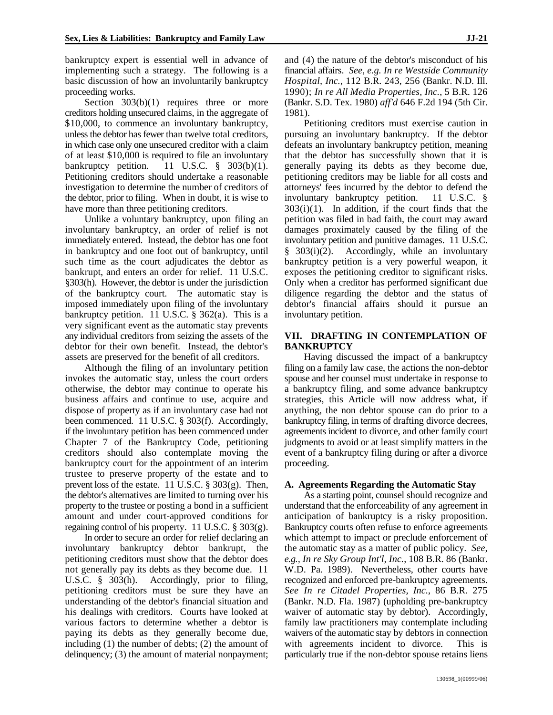bankruptcy expert is essential well in advance of and  $(4)$  the nature of the debtor's misconduct of his implementing such a strategy. The following is a financial affairs. See, e.g. In re Westside Community implementing such a strategy. The following is a basic discussion of how an involuntarily bankruptcy *Hospital, Inc.*, 112 B.R. 243, 256 (Bankr. N.D. Ill. proceeding works. 1990); *In re All Media Properties, Inc.*, 5 B.R. 126

creditors holding unsecured claims, in the aggregate of 1981). \$10,000, to commence an involuntary bankruptcy, Petitioning creditors must exercise caution in unless the debtor has fewer than twelve total creditors, pursuing an involuntary bankruptcy. If the debtor in which case only one unsecured creditor with a claim defeats an involuntary bankruptcy petition, meaning in which case only one unsecured creditor with a claim of at least \$10,000 is required to file an involuntary that the debtor has successfully shown that it is bankruptcy petition. 11 U.S.C.  $\S$  303(b)(1). generally paying its debts as they become due, Petitioning creditors should undertake a reasonable petitioning creditors may be liable for all costs and investigation to determine the number of creditors of attorneys' fees incurred by the debtor to defend the the debtor, prior to filing. When in doubt, it is wise to involuntary bankruptcy petition. 11 U.S.C. § have more than three petitioning creditors.  $303(i)(1)$ . In addition, if the court finds that the

involuntary bankruptcy, an order of relief is not damages proximately caused by the filing of the immediately entered. Instead, the debtor has one foot involuntary petition and punitive damages. 11 U.S.C. in bankruptcy and one foot out of bankruptcy, until  $\S$  303(i)(2). Accordingly, while an involuntary such time as the court adjudicates the debtor as bankruptcy petition is a very powerful weapon, it bankrupt, and enters an order for relief. 11 U.S.C. exposes the petitioning creditor to significant risks. §303(h). However, the debtor is under the jurisdiction Only when a creditor has performed significant due of the bankruptcy court. The automatic stay is diligence regarding the debtor and the status of imposed immediately upon filing of the involuntary debtor's financial affairs should it pursue an bankruptcy petition. 11 U.S.C. § 362(a). This is a involuntary petition. very significant event as the automatic stay prevents any individual creditors from seizing the assets of the **VII. DRAFTING IN CONTEMPLATION OF** debtor for their own benefit. Instead, the debtor's **BANKRUPTCY** assets are preserved for the benefit of all creditors. Having discussed the impact of a bankruptcy

invokes the automatic stay, unless the court orders spouse and her counsel must undertake in response to otherwise, the debtor may continue to operate his a bankruptcy filing, and some advance bankruptcy business affairs and continue to use, acquire and strategies, this Article will now address what, if dispose of property as if an involuntary case had not anything, the non debtor spouse can do prior to a been commenced. 11 U.S.C. § 303(f). Accordingly, bankruptcy filing, in terms of drafting divorce decrees, if the involuntary petition has been commenced under agreementsincident to divorce, and other family court Chapter 7 of the Bankruptcy Code, petitioning judgments to avoid or at least simplify matters in the creditors should also contemplate moving the event of a bankruptcy filing during or after a divorce bankruptcy court for the appointment of an interim proceeding. trustee to preserve property of the estate and to prevent loss of the estate. 11 U.S.C. § 303(g). Then, **A. Agreements Regarding the Automatic Stay** the debtor's alternatives are limited to turning over his As a starting point, counsel should recognize and property to the trustee or posting a bond in a sufficient understand that the enforceability of any agreement in amount and under court-approved conditions for anticipation of bankruptcy is a risky proposition. regaining control of his property. 11 U.S.C.  $\S 303(g)$ . Bankruptcy courts often refuse to enforce agreements

involuntary bankruptcy debtor bankrupt, the the automatic stay as a matter of public policy. *See,* petitioning creditors must show that the debtor does *e.g., In re Sky Group Int'l, Inc.*, 108 B.R. 86 (Bankr. not generally pay its debts as they become due. 11 W.D. Pa. 1989). Nevertheless, other courts have U.S.C. § 303(h). Accordingly, prior to filing, recognized and enforced pre-bankruptcy agreements. petitioning creditors must be sure they have an *See In re Citadel Properties, Inc.*, 86 B.R. 275 understanding of the debtor's financial situation and (Bankr. N.D. Fla. 1987) (upholding pre-bankruptcy his dealings with creditors. Courts have looked at waiver of automatic stay by debtor). Accordingly, various factors to determine whether a debtor is family law practitioners may contemplate including paying its debts as they generally become due, waivers of the automatic stay by debtors in connection including (1) the number of debts; (2) the amount of with agreements incident to divorce. This is

Section 303(b)(1) requires three or more (Bankr. S.D. Tex. 1980) *aff'd* 646 F.2d 194 (5th Cir.

Unlike a voluntary bankruptcy, upon filing an petition was filed in bad faith, the court may award

Although the filing of an involuntary petition filing on a family law case, the actions the non-debtor

In order to secure an order for relief declaring an which attempt to impact or preclude enforcement of delinquency; (3) the amount of material nonpayment; particularly true if the non-debtor spouse retains liens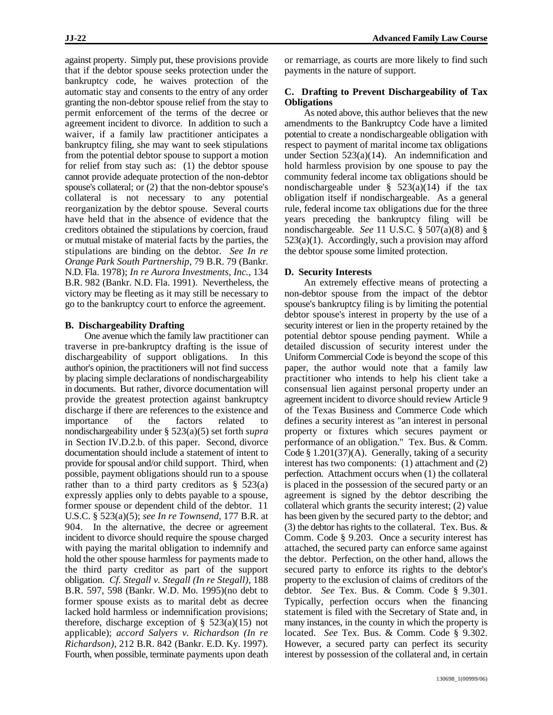against property. Simply put, these provisions provide or remarriage, as courts are more likely to find such that if the debtor spouse seeks protection under the payments in the nature of support. bankruptcy code, he waives protection of the automatic stay and consents to the entry of any order **C. Drafting to Prevent Dischargeability of Tax** granting the non-debtor spouse relief from the stay to **Obligations** permit enforcement of the terms of the decree or As noted above, this author believes that the new agreement incident to divorce. In addition to such a amendments to the Bankruptcy Code have a limited waiver, if a family law practitioner anticipates a potential to create a nondischargeable obligation with bankruptcy filing, she may want to seek stipulations respect to payment of marital income tax obligations from the potential debtor spouse to support a motion under Section 523(a)(14). An indemnification and for relief from stay such as: (1) the debtor spouse hold harmless provision by one spouse to pay the cannot provide adequate protection of the non-debtor community federal income tax obligations should be spouse's collateral; or (2) that the non-debtor spouse's nondischargeable under  $\S$  523(a)(14) if the tax collateral is not necessary to any potential obligation itself if nondischargeable. As a general reorganization by the debtor spouse. Several courts rule, federal income tax obligations due for the three have held that in the absence of evidence that the years preceding the bankruptcy filing will be creditors obtained the stipulations by coercion, fraud nondischargeable. *See* 11 U.S.C. § 507(a)(8) and § or mutual mistake of material facts by the parties, the  $523(a)(1)$ . Accordingly, such a provision may afford stipulations are binding on the debtor. *See In re* the debtor spouse some limited protection. *Orange Park South Partnership*, 79 B.R. 79 (Bankr. N.D. Fla. 1978); *In re Aurora Investments, Inc.*, 134 **D. Security Interests** B.R. 982 (Bankr. N.D. Fla. 1991). Nevertheless, the An extremely effective means of protecting a victory may be fleeting as it may still be necessary to non-debtor spouse from the impact of the debtor go to the bankruptcy court to enforce the agreement. spouse's bankruptcy filing is by limiting the potential

traverse in pre-bankruptcy drafting is the issue of detailed discussion of security interest under the dischargeability of support obligations. In this Uniform Commercial Code is beyond the scope of this author's opinion, the practitioners will not find success paper, the author would note that a family law by placing simple declarations of nondischargeability practitioner who intends to help his client take a in documents. But rather, divorce documentation will consensual lien against personal property under an provide the greatest protection against bankruptcy agreement incident to divorce should review Article 9 discharge if there are references to the existence and of the Texas Business and Commerce Code which importance of the factors related to defines a security interest as "an interest in personal nondischargeability under § 523(a)(5) set forth *supra* property or fixtures which secures payment or in Section IV.D.2.b. of this paper. Second, divorce performance of an obligation." Tex. Bus. & Comm. in Section IV.D.2.b. of this paper. Second, divorce documentation should include a statement of intent to Code § 1.201(37)(A). Generally, taking of a security provide for spousal and/or child support. Third, when interest has two components: (1) attachment and (2) possible, payment obligations should run to a spouse perfection. Attachment occurs when (1) the collateral rather than to a third party creditors as  $\S$  523(a) is placed in the possession of the secured party or an expressly applies only to debts payable to a spouse, agreement is signed by the debtor describing the former spouse or dependent child of the debtor. 11 collateral which grants the security interest; (2) value U.S.C. § 523(a)(5); *see In re Townsend*, 177 B.R. at has been given by the secured party to the debtor; and 904. In the alternative, the decree or agreement (3) the debtor has rights to the collateral. Tex. Bus. & incident to divorce should require the spouse charged Comm. Code § 9.203. Once a security interest has with paying the marital obligation to indemnify and attached, the secured party can enforce same against hold the other spouse harmless for payments made to the debtor. Perfection, on the other hand, allows the the third party creditor as part of the support secured party to enforce its rights to the debtor's obligation. *Cf. Stegall v. Stegall (In re Stegall)*, 188 property to the exclusion of claims of creditors of the B.R. 597, 598 (Bankr. W.D. Mo. 1995)(no debt to debtor. *See* Tex. Bus. & Comm. Code § 9.301. former spouse exists as to marital debt as decree Typically, perfection occurs when the financing lacked hold harmless or indemnification provisions; statement is filed with the Secretary of State and, in therefore, discharge exception of  $\S$  523(a)(15) not many instances, in the county in which the property is applicable); *accord Salyers v. Richardson (In re* located. *See* Tex. Bus. & Comm. Code § 9.302. *Richardson)*, 212 B.R. 842 (Bankr. E.D. Ky. 1997). However, a secured party can perfect its security Fourth, when possible, terminate payments upon death interest by possession of the collateral and, in certain

**B. Dischargeability Drafting** security interest or lien in the property retained by the One avenue which the family law practitioner can potential debtor spouse pending payment. While a  $\text{collateral which grants the security interest}; (2) \text{ value}$ debtor spouse's interest in property by the use of a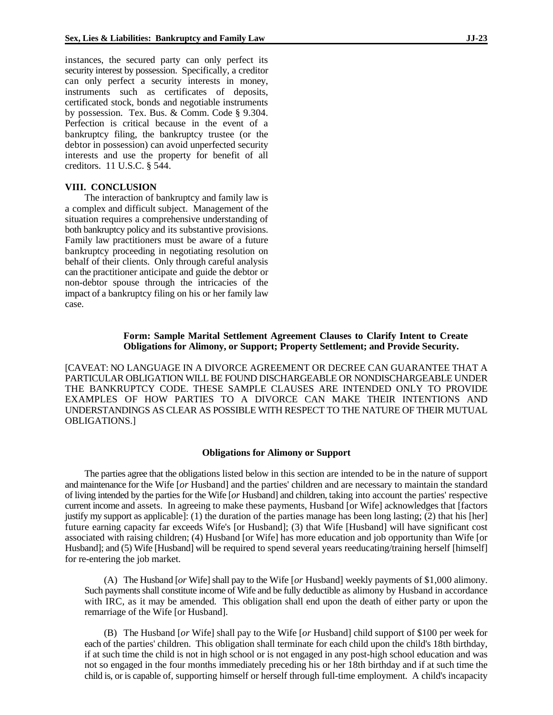instances, the secured party can only perfect its security interest by possession. Specifically, a creditor can only perfect a security interests in money, instruments such as certificates of deposits, certificated stock, bonds and negotiable instruments by possession. Tex. Bus. & Comm. Code § 9.304. Perfection is critical because in the event of a bankruptcy filing, the bankruptcy trustee (or the debtor in possession) can avoid unperfected security interests and use the property for benefit of all creditors. 11 U.S.C. § 544.

### **VIII. CONCLUSION**

The interaction of bankruptcy and family law is a complex and difficult subject. Management of the situation requires a comprehensive understanding of both bankruptcy policy and its substantive provisions. Family law practitioners must be aware of a future bankruptcy proceeding in negotiating resolution on behalf of their clients. Only through careful analysis can the practitioner anticipate and guide the debtor or non-debtor spouse through the intricacies of the impact of a bankruptcy filing on his or her family law case.

### **Form: Sample Marital Settlement Agreement Clauses to Clarify Intent to Create Obligations for Alimony, or Support; Property Settlement; and Provide Security.**

[CAVEAT: NO LANGUAGE IN A DIVORCE AGREEMENT OR DECREE CAN GUARANTEE THAT A PARTICULAR OBLIGATION WILL BE FOUND DISCHARGEABLE OR NONDISCHARGEABLE UNDER THE BANKRUPTCY CODE. THESE SAMPLE CLAUSES ARE INTENDED ONLY TO PROVIDE EXAMPLES OF HOW PARTIES TO A DIVORCE CAN MAKE THEIR INTENTIONS AND UNDERSTANDINGS AS CLEAR AS POSSIBLE WITH RESPECT TO THE NATURE OF THEIR MUTUAL OBLIGATIONS.]

### **Obligations for Alimony or Support**

The parties agree that the obligations listed below in this section are intended to be in the nature of support and maintenance for the Wife [*or* Husband] and the parties' children and are necessary to maintain the standard of living intended by the parties for the Wife [*or* Husband] and children, taking into account the parties' respective current income and assets. In agreeing to make these payments, Husband [or Wife] acknowledges that [factors justify my support as applicable]: (1) the duration of the parties manage has been long lasting; (2) that his [her] future earning capacity far exceeds Wife's [or Husband]; (3) that Wife [Husband] will have significant cost associated with raising children; (4) Husband [or Wife] has more education and job opportunity than Wife [or Husband]; and (5) Wife [Husband] will be required to spend several years reeducating/training herself [himself] for re-entering the job market.

(A) The Husband [*or* Wife] shall pay to the Wife [*or* Husband] weekly payments of \$1,000 alimony. Such payments shall constitute income of Wife and be fully deductible as alimony by Husband in accordance with IRC, as it may be amended. This obligation shall end upon the death of either party or upon the remarriage of the Wife [or Husband].

(B) The Husband [*or* Wife] shall pay to the Wife [*or* Husband] child support of \$100 per week for each of the parties' children. This obligation shall terminate for each child upon the child's 18th birthday, if at such time the child is not in high school or is not engaged in any post-high school education and was not so engaged in the four months immediately preceding his or her 18th birthday and if at such time the child is, or is capable of, supporting himself or herself through full-time employment. A child's incapacity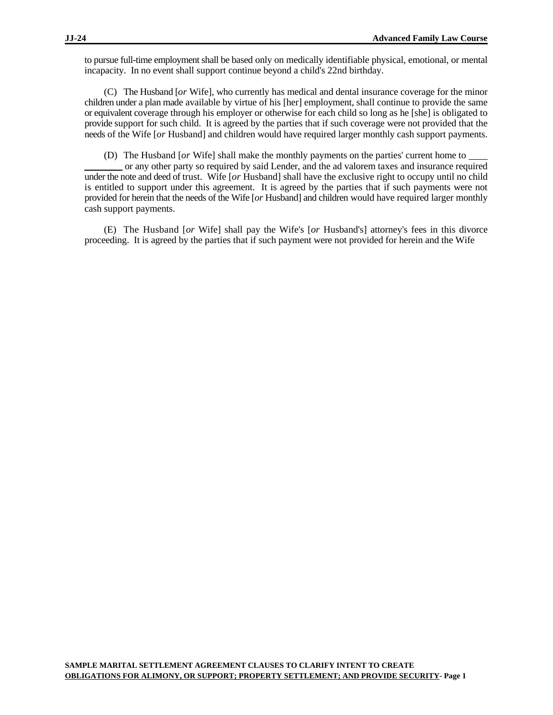to pursue full-time employment shall be based only on medically identifiable physical, emotional, or mental incapacity. In no event shall support continue beyond a child's 22nd birthday.

(C) The Husband [*or* Wife], who currently has medical and dental insurance coverage for the minor children under a plan made available by virtue of his [her] employment, shall continue to provide the same or equivalent coverage through his employer or otherwise for each child so long as he [she] is obligated to provide support for such child. It is agreed by the parties that if such coverage were not provided that the needs of the Wife [*or* Husband] and children would have required larger monthly cash support payments.

(D) The Husband [*or* Wife] shall make the monthly payments on the parties' current home to

or any other party so required by said Lender, and the ad valorem taxes and insurance required under the note and deed of trust. Wife [*or* Husband] shall have the exclusive right to occupy until no child is entitled to support under this agreement. It is agreed by the parties that if such payments were not provided for herein that the needs of the Wife [*or* Husband] and children would have required larger monthly cash support payments.

(E) The Husband [*or* Wife] shall pay the Wife's [*or* Husband's] attorney's fees in this divorce proceeding. It is agreed by the parties that if such payment were not provided for herein and the Wife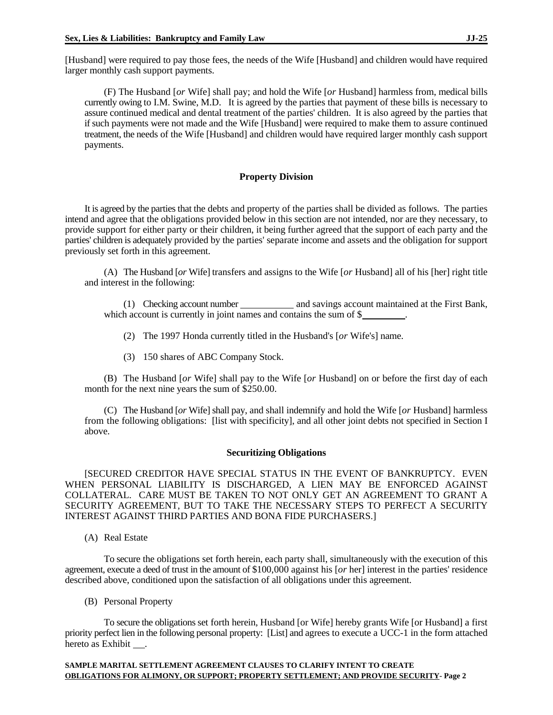[Husband] were required to pay those fees, the needs of the Wife [Husband] and children would have required larger monthly cash support payments.

(F) The Husband [*or* Wife] shall pay; and hold the Wife [*or* Husband] harmless from, medical bills currently owing to I.M. Swine, M.D. It is agreed by the parties that payment of these bills is necessary to assure continued medical and dental treatment of the parties' children. It is also agreed by the parties that if such payments were not made and the Wife [Husband] were required to make them to assure continued treatment, the needs of the Wife [Husband] and children would have required larger monthly cash support payments.

### **Property Division**

It is agreed by the parties that the debts and property of the parties shall be divided as follows. The parties intend and agree that the obligations provided below in this section are not intended, nor are they necessary, to provide support for either party or their children, it being further agreed that the support of each party and the parties' children is adequately provided by the parties' separate income and assets and the obligation for support previously set forth in this agreement.

(A) The Husband [*or* Wife] transfers and assigns to the Wife [*or* Husband] all of his [her] right title and interest in the following:

(1) Checking account number \_\_\_\_\_\_\_\_\_\_\_\_\_\_\_ and savings account maintained at the First Bank, which account is currently in joint names and contains the sum of \$

- (2) The 1997 Honda currently titled in the Husband's [*or* Wife's] name.
- (3) 150 shares of ABC Company Stock.

(B) The Husband [*or* Wife] shall pay to the Wife [*or* Husband] on or before the first day of each month for the next nine years the sum of \$250.00.

(C) The Husband [*or* Wife]shall pay, and shall indemnify and hold the Wife [*or* Husband] harmless from the following obligations: [list with specificity], and all other joint debts not specified in Section I above.

### **Securitizing Obligations**

[SECURED CREDITOR HAVE SPECIAL STATUS IN THE EVENT OF BANKRUPTCY. EVEN WHEN PERSONAL LIABILITY IS DISCHARGED, A LIEN MAY BE ENFORCED AGAINST COLLATERAL. CARE MUST BE TAKEN TO NOT ONLY GET AN AGREEMENT TO GRANT A SECURITY AGREEMENT, BUT TO TAKE THE NECESSARY STEPS TO PERFECT A SECURITY INTEREST AGAINST THIRD PARTIES AND BONA FIDE PURCHASERS.]

(A) Real Estate

To secure the obligations set forth herein, each party shall, simultaneously with the execution of this agreement, execute a deed of trust in the amount of \$100,000 against his [*or* her] interest in the parties' residence described above, conditioned upon the satisfaction of all obligations under this agreement.

(B) Personal Property

To secure the obligations set forth herein, Husband [or Wife] hereby grants Wife [or Husband] a first priority perfect lien in the following personal property: [List] and agrees to execute a UCC-1 in the form attached hereto as Exhibit \_\_\_.

### **SAMPLE MARITAL SETTLEMENT AGREEMENT CLAUSES TO CLARIFY INTENT TO CREATE OBLIGATIONS FOR ALIMONY, OR SUPPORT; PROPERTY SETTLEMENT; AND PROVIDE SECURITY- Page 2**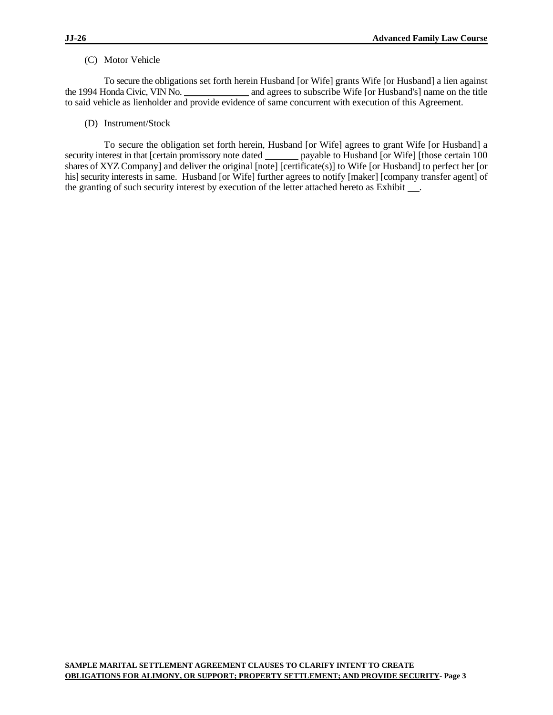### (C) Motor Vehicle

To secure the obligations set forth herein Husband [or Wife] grants Wife [or Husband] a lien against the 1994 Honda Civic, VIN No. \_\_\_\_\_\_\_\_\_\_\_\_\_\_\_\_ and agrees to subscribe Wife [or Husband's] name on the title to said vehicle as lienholder and provide evidence of same concurrent with execution of this Agreement.

### (D) Instrument/Stock

To secure the obligation set forth herein, Husband [or Wife] agrees to grant Wife [or Husband] a security interest in that [certain promissory note dated <u>payable to Husband [or Wife]</u> [those certain 100 shares of XYZ Company] and deliver the original [note] [certificate(s)] to Wife [or Husband] to perfect her [or his] security interests in same. Husband [or Wife] further agrees to notify [maker] [company transfer agent] of the granting of such security interest by execution of the letter attached hereto as Exhibit ...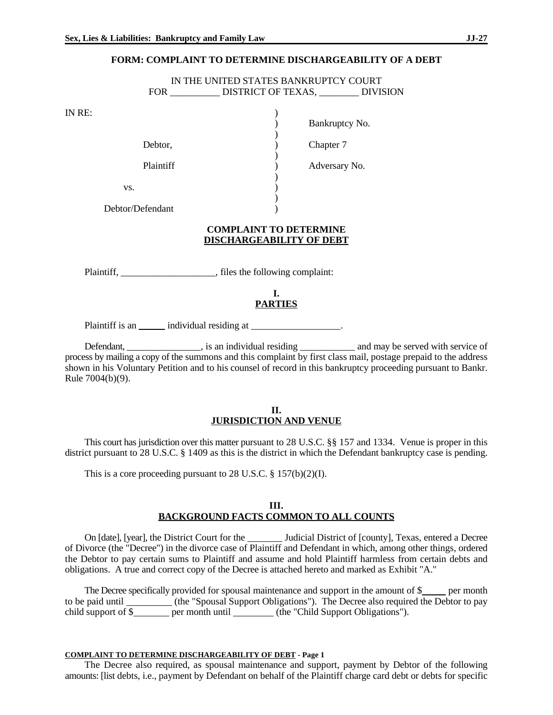### **FORM: COMPLAINT TO DETERMINE DISCHARGEABILITY OF A DEBT** IN THE UNITED STATES BANKRUPTCY COURT

|                  | <b>COMPLAINT TO DETERMINE</b><br><b>DISCHARGEABILITY OF DEBT</b> |                                 |
|------------------|------------------------------------------------------------------|---------------------------------|
| Debtor/Defendant |                                                                  |                                 |
| VS.              |                                                                  |                                 |
| Plaintiff        |                                                                  | Adversary No.                   |
| Debtor,          |                                                                  | Chapter 7                       |
| IN RE:           |                                                                  | Bankruptcy No.                  |
|                  |                                                                  | FOR DISTRICT OF TEXAS, DIVISION |
|                  | IN THE UNITED STATES BANKRUPTCY COURT                            |                                 |

Plaintiff, \_\_\_\_\_\_\_\_\_\_\_\_\_\_\_\_\_\_\_, files the following complaint:

**I. PARTIES**

Plaintiff is an \_\_\_\_\_\_ individual residing at \_\_\_\_\_\_\_\_\_\_\_\_\_\_\_\_\_\_\_.

Defendant, \_\_\_\_\_\_\_\_\_\_\_\_\_\_\_, is an individual residing \_\_\_\_\_\_\_\_\_\_\_\_ and may be served with service of process by mailing a copy of the summons and this complaint by first class mail, postage prepaid to the address shown in his Voluntary Petition and to his counsel of record in this bankruptcy proceeding pursuant to Bankr. Rule 7004(b)(9).

### **II. JURISDICTION AND VENUE**

This court has jurisdiction over this matter pursuant to 28 U.S.C. §§ 157 and 1334. Venue is proper in this district pursuant to 28 U.S.C. § 1409 as this is the district in which the Defendant bankruptcy case is pending.

This is a core proceeding pursuant to 28 U.S.C. § 157(b)(2)(I).

### **III. BACKGROUND FACTS COMMON TO ALL COUNTS**

On [date], [year], the District Court for the \_\_\_\_\_\_\_ Judicial District of [county], Texas, entered a Decree of Divorce (the "Decree") in the divorce case of Plaintiff and Defendant in which, among other things, ordered the Debtor to pay certain sums to Plaintiff and assume and hold Plaintiff harmless from certain debts and obligations. A true and correct copy of the Decree is attached hereto and marked as Exhibit "A."

The Decree specifically provided for spousal maintenance and support in the amount of  $\frac{1}{2}$  per month to be paid until \_\_\_\_\_\_\_(the "Spousal Support Obligations"). The Decree also required the Debtor to pay child support of  $\overline{\S}$  per month until  $\overline{\S}$  (the "Child Support Obligations").

### **COMPLAINT TO DETERMINE DISCHARGEABILITY OF DEBT - Page 1**

The Decree also required, as spousal maintenance and support, payment by Debtor of the following amounts: [list debts, i.e., payment by Defendant on behalf of the Plaintiff charge card debt or debts for specific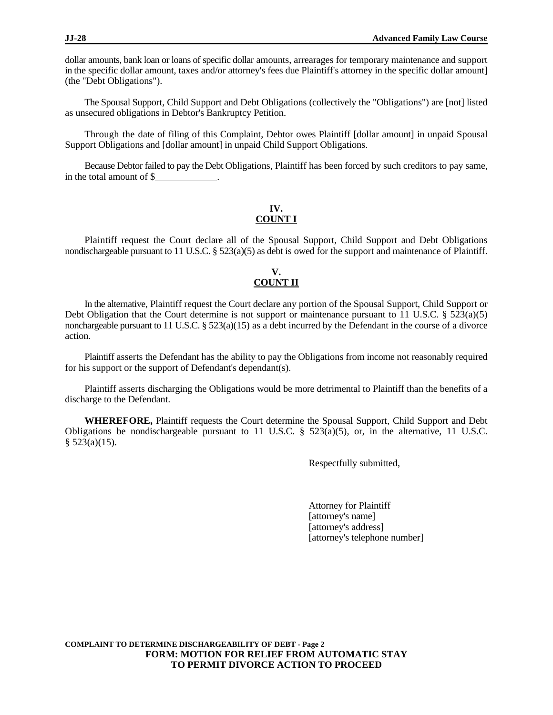dollar amounts, bank loan or loans of specific dollar amounts, arrearages for temporary maintenance and support in the specific dollar amount, taxes and/or attorney's fees due Plaintiff's attorney in the specific dollar amount] (the "Debt Obligations").

The Spousal Support, Child Support and Debt Obligations (collectively the "Obligations") are [not] listed as unsecured obligations in Debtor's Bankruptcy Petition.

Through the date of filing of this Complaint, Debtor owes Plaintiff [dollar amount] in unpaid Spousal Support Obligations and [dollar amount] in unpaid Child Support Obligations.

Because Debtor failed to pay the Debt Obligations, Plaintiff has been forced by such creditors to pay same, in the total amount of \$

### **IV. COUNT I**

Plaintiff request the Court declare all of the Spousal Support, Child Support and Debt Obligations nondischargeable pursuant to 11 U.S.C.  $\S 523(a)(5)$  as debt is owed for the support and maintenance of Plaintiff.

### **V. COUNT II**

In the alternative, Plaintiff request the Court declare any portion of the Spousal Support, Child Support or Debt Obligation that the Court determine is not support or maintenance pursuant to 11 U.S.C.  $\S$  523(a)(5) nonchargeable pursuant to 11 U.S.C.  $\S$  523(a)(15) as a debt incurred by the Defendant in the course of a divorce action.

Plaintiff asserts the Defendant has the ability to pay the Obligations from income not reasonably required for his support or the support of Defendant's dependant(s).

Plaintiff asserts discharging the Obligations would be more detrimental to Plaintiff than the benefits of a discharge to the Defendant.

**WHEREFORE,** Plaintiff requests the Court determine the Spousal Support, Child Support and Debt Obligations be nondischargeable pursuant to 11 U.S.C.  $\S$  523(a)(5), or, in the alternative, 11 U.S.C.  $§$  523(a)(15).

Respectfully submitted,

Attorney for Plaintiff [attorney's name] [attorney's address] [attorney's telephone number]

**COMPLAINT TO DETERMINE DISCHARGEABILITY OF DEBT - Page 2 FORM: MOTION FOR RELIEF FROM AUTOMATIC STAY TO PERMIT DIVORCE ACTION TO PROCEED**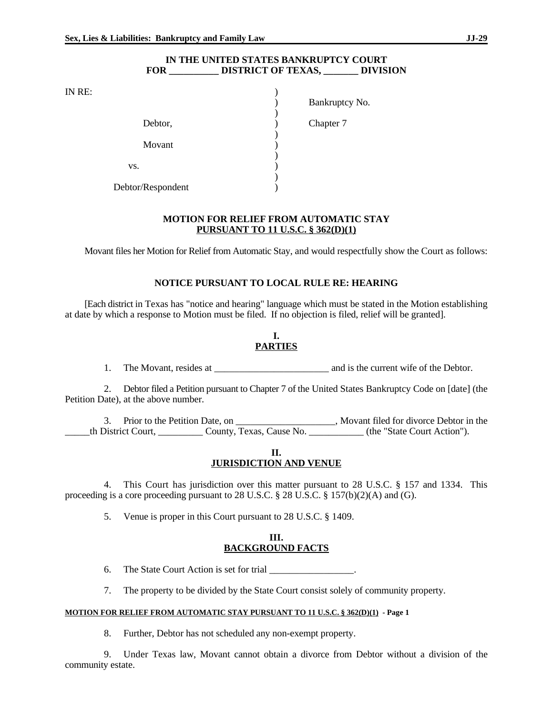### **IN THE UNITED STATES BANKRUPTCY COURT FOR \_\_\_\_\_\_\_\_\_\_ DISTRICT OF TEXAS, \_\_\_\_\_\_\_ DIVISION**

| IN RE: |                   |                |
|--------|-------------------|----------------|
|        |                   | Bankruptcy No. |
|        | Debtor,           | Chapter 7      |
|        | Movant            |                |
|        | VS.               |                |
|        | Debtor/Respondent |                |

### **MOTION FOR RELIEF FROM AUTOMATIC STAY PURSUANT TO 11 U.S.C. § 362(D)(1)**

Movant files her Motion for Relief from Automatic Stay, and would respectfully show the Court as follows:

### **NOTICE PURSUANT TO LOCAL RULE RE: HEARING**

[Each district in Texas has "notice and hearing" language which must be stated in the Motion establishing at date by which a response to Motion must be filed. If no objection is filed, relief will be granted].

### **I. PARTIES**

1. The Movant, resides at \_\_\_\_\_\_\_\_\_\_\_\_\_\_\_\_\_\_\_\_\_\_\_\_ and is the current wife of the Debtor.

2. Debtor filed a Petition pursuant to Chapter 7 of the United States Bankruptcy Code on [date] (the Petition Date), at the above number.

3. Prior to the Petition Date, on \_\_\_\_\_\_\_\_\_\_\_\_\_\_\_\_\_\_\_\_, Movant filed for divorce Debtor in the \_\_\_\_\_th District Court, \_\_\_\_\_\_\_\_\_ County, Texas, Cause No. \_\_\_\_\_\_\_\_\_\_\_ (the "State Court Action").

### **II. JURISDICTION AND VENUE**

4. This Court has jurisdiction over this matter pursuant to 28 U.S.C. § 157 and 1334. This proceeding is a core proceeding pursuant to 28 U.S.C. § 28 U.S.C. § 157(b)(2)(A) and (G).

5. Venue is proper in this Court pursuant to 28 U.S.C. § 1409.

### **III. BACKGROUND FACTS**

6. The State Court Action is set for trial \_\_\_\_\_\_\_\_\_\_\_\_\_\_\_\_\_.

7. The property to be divided by the State Court consist solely of community property.

### **MOTION FOR RELIEF FROM AUTOMATIC STAY PURSUANT TO 11 U.S.C. § 362(D)(1) - Page 1**

8. Further, Debtor has not scheduled any non-exempt property.

9. Under Texas law, Movant cannot obtain a divorce from Debtor without a division of the community estate.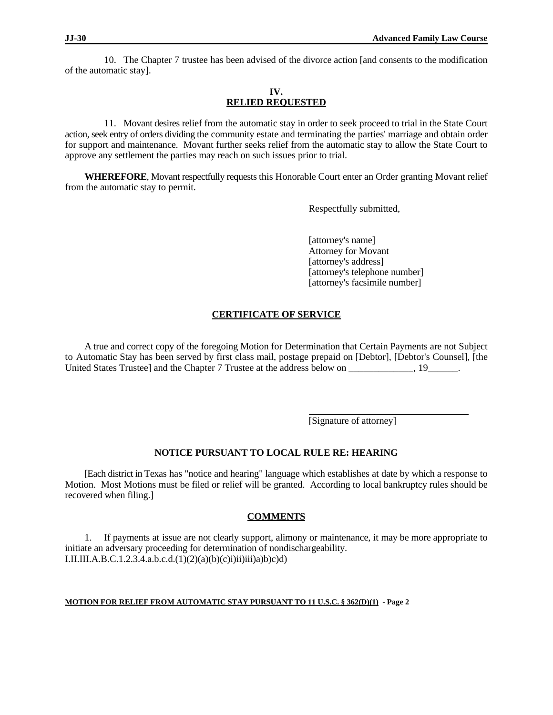10. The Chapter 7 trustee has been advised of the divorce action [and consents to the modification of the automatic stay].

### **IV. RELIED REQUESTED**

11. Movant desires relief from the automatic stay in order to seek proceed to trial in the State Court action, seek entry of orders dividing the community estate and terminating the parties' marriage and obtain order for support and maintenance. Movant further seeks relief from the automatic stay to allow the State Court to approve any settlement the parties may reach on such issues prior to trial.

**WHEREFORE**, Movant respectfully requests this Honorable Court enter an Order granting Movant relief from the automatic stay to permit.

Respectfully submitted,

[attorney's name] Attorney for Movant [attorney's address] [attorney's telephone number] [attorney's facsimile number]

### **CERTIFICATE OF SERVICE**

A true and correct copy of the foregoing Motion for Determination that Certain Payments are not Subject to Automatic Stay has been served by first class mail, postage prepaid on [Debtor], [Debtor's Counsel], [the United States Trustee] and the Chapter 7 Trustee at the address below on \_\_\_\_\_\_\_\_\_\_\_, 19\_\_\_\_\_\_.

[Signature of attorney]

### **NOTICE PURSUANT TO LOCAL RULE RE: HEARING**

[Each district in Texas has "notice and hearing" language which establishes at date by which a response to Motion. Most Motions must be filed or relief will be granted. According to local bankruptcy rules should be recovered when filing.]

### **COMMENTS**

1. If payments at issue are not clearly support, alimony or maintenance, it may be more appropriate to initiate an adversary proceeding for determination of nondischargeability. I.II.III.A.B.C.1.2.3.4.a.b.c.d. $(1)(2)(a)(b)(c)i)iii)iii(a)b(c)d)$ 

### **MOTION FOR RELIEF FROM AUTOMATIC STAY PURSUANT TO 11 U.S.C. § 362(D)(1) - Page 2**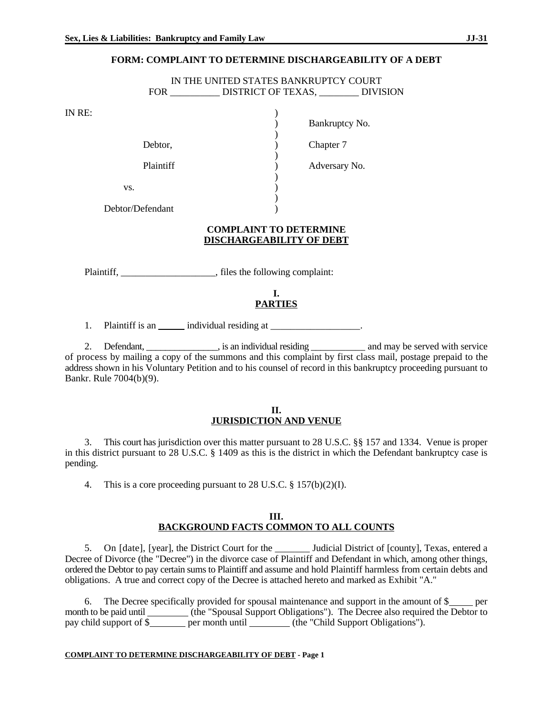### **FORM: COMPLAINT TO DETERMINE DISCHARGEABILITY OF A DEBT** IN THE UNITED STATES BANKRUPTCY COURT

|                  | IN THE UNITED STATES BANKRUPTCY COURT                            |
|------------------|------------------------------------------------------------------|
|                  | FOR DISTRICT OF TEXAS, DIVISION                                  |
| IN RE:           |                                                                  |
|                  | Bankruptcy No.                                                   |
| Debtor,          | Chapter 7                                                        |
| Plaintiff        | Adversary No.                                                    |
| VS.              |                                                                  |
| Debtor/Defendant |                                                                  |
|                  | <b>COMPLAINT TO DETERMINE</b><br><b>DISCHARGEABILITY OF DEBT</b> |

Plaintiff, \_\_\_\_\_\_\_\_\_\_\_\_\_\_\_\_\_\_\_, files the following complaint:

**I. PARTIES**

1. Plaintiff is an  $\frac{1}{\sqrt{1-\frac{1}{n}}}$  individual residing at  $\frac{1}{\sqrt{1-\frac{1}{n}}}$ 

2. Defendant, \_\_\_\_\_\_\_\_\_\_\_\_\_, is an individual residing \_\_\_\_\_\_\_\_\_\_\_\_ and may be served with service of process by mailing a copy of the summons and this complaint by first class mail, postage prepaid to the address shown in his Voluntary Petition and to his counsel of record in this bankruptcy proceeding pursuant to Bankr. Rule 7004(b)(9).

### **II. JURISDICTION AND VENUE**

3. This court has jurisdiction over this matter pursuant to 28 U.S.C. §§ 157 and 1334. Venue is proper in this district pursuant to 28 U.S.C. § 1409 as this is the district in which the Defendant bankruptcy case is pending.

4. This is a core proceeding pursuant to 28 U.S.C. § 157(b)(2)(I).

### **III. BACKGROUND FACTS COMMON TO ALL COUNTS**

5. On [date], [year], the District Court for the \_\_\_\_\_\_\_ Judicial District of [county], Texas, entered a Decree of Divorce (the "Decree") in the divorce case of Plaintiff and Defendant in which, among other things, ordered the Debtor to pay certain sums to Plaintiff and assume and hold Plaintiff harmless from certain debts and obligations. A true and correct copy of the Decree is attached hereto and marked as Exhibit "A."

6. The Decree specifically provided for spousal maintenance and support in the amount of \$ month to be paid until (the "Spousal Support Obligations"). The Decree also required the Debtor to pay child support of  $\overline{\text{s}}$  per month until  $\overline{\text{the}}$  (the "Child Support Obligations").

### **COMPLAINT TO DETERMINE DISCHARGEABILITY OF DEBT - Page 1**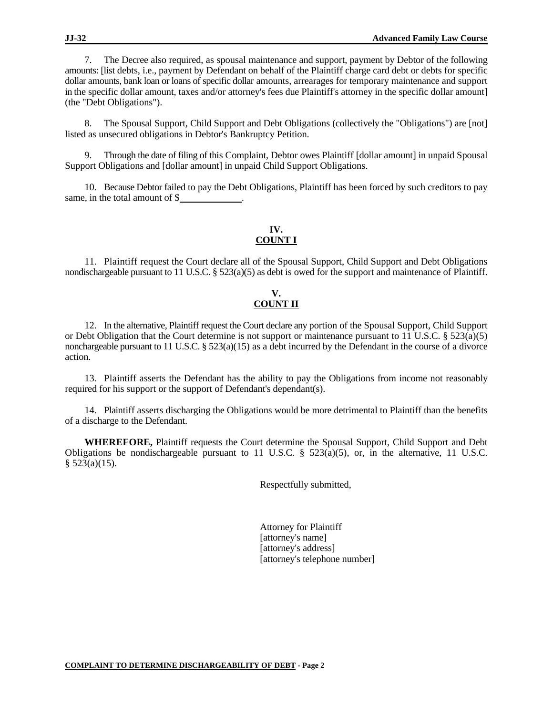7. The Decree also required, as spousal maintenance and support, payment by Debtor of the following amounts: [list debts, i.e., payment by Defendant on behalf of the Plaintiff charge card debt or debts for specific dollar amounts, bank loan or loans of specific dollar amounts, arrearages for temporary maintenance and support in the specific dollar amount, taxes and/or attorney's fees due Plaintiff's attorney in the specific dollar amount] (the "Debt Obligations").

8. The Spousal Support, Child Support and Debt Obligations (collectively the "Obligations") are [not] listed as unsecured obligations in Debtor's Bankruptcy Petition.

9. Through the date of filing of this Complaint, Debtor owes Plaintiff [dollar amount] in unpaid Spousal Support Obligations and [dollar amount] in unpaid Child Support Obligations.

10. Because Debtor failed to pay the Debt Obligations, Plaintiff has been forced by such creditors to pay same, in the total amount of \$

### **IV. COUNT I**

11. Plaintiff request the Court declare all of the Spousal Support, Child Support and Debt Obligations nondischargeable pursuant to 11 U.S.C. § 523(a)(5) as debt is owed for the support and maintenance of Plaintiff.

### **V. COUNT II**

12. In the alternative, Plaintiff request the Court declare any portion of the Spousal Support, Child Support or Debt Obligation that the Court determine is not support or maintenance pursuant to 11 U.S.C. §  $523(a)(5)$ nonchargeable pursuant to 11 U.S.C.  $\S$  523(a)(15) as a debt incurred by the Defendant in the course of a divorce action.

13. Plaintiff asserts the Defendant has the ability to pay the Obligations from income not reasonably required for his support or the support of Defendant's dependant(s).

14. Plaintiff asserts discharging the Obligations would be more detrimental to Plaintiff than the benefits of a discharge to the Defendant.

**WHEREFORE,** Plaintiff requests the Court determine the Spousal Support, Child Support and Debt Obligations be nondischargeable pursuant to 11 U.S.C.  $\S$  523(a)(5), or, in the alternative, 11 U.S.C.  $§ 523(a)(15).$ 

Respectfully submitted,

Attorney for Plaintiff [attorney's name] [attorney's address] [attorney's telephone number]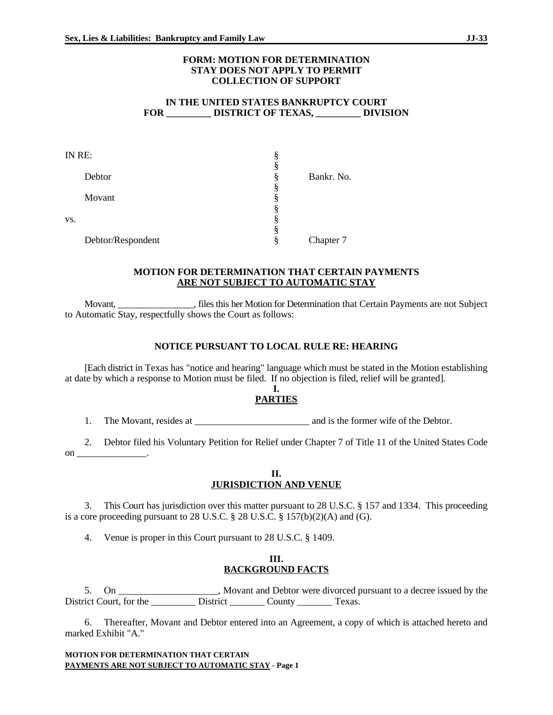### **FORM: MOTION FOR DETERMINATION STAY DOES NOT APPLY TO PERMIT COLLECTION OF SUPPORT**

### **IN THE UNITED STATES BANKRUPTCY COURT FOR \_\_\_\_\_\_\_\_\_ DISTRICT OF TEXAS, \_\_\_\_\_\_\_\_\_ DIVISION**

| IN RE: |                   |            |
|--------|-------------------|------------|
|        | Debtor            | Bankr. No. |
|        | Movant            |            |
| VS.    |                   |            |
|        |                   |            |
|        | Debtor/Respondent | Chapter 7  |

### **MOTION FOR DETERMINATION THAT CERTAIN PAYMENTS ARE NOT SUBJECT TO AUTOMATIC STAY**

Movant, \_\_\_\_\_\_\_\_\_\_\_\_\_\_\_\_, filesthis her Motion for Determination that Certain Payments are not Subject to Automatic Stay, respectfully shows the Court as follows:

### **NOTICE PURSUANT TO LOCAL RULE RE: HEARING**

[Each district in Texas has "notice and hearing" language which must be stated in the Motion establishing at date by which a response to Motion must be filed. If no objection is filed, relief will be granted].

### **I. PARTIES**

1. The Movant, resides at \_\_\_\_\_\_\_\_\_\_\_\_\_\_\_\_\_\_\_\_\_\_\_ and is the former wife of the Debtor.

2. Debtor filed his Voluntary Petition for Relief under Chapter 7 of Title 11 of the United States Code on \_\_\_\_\_\_\_\_\_\_\_\_\_\_.

### **II. JURISDICTION AND VENUE**

3. This Court has jurisdiction over this matter pursuant to 28 U.S.C. § 157 and 1334. This proceeding is a core proceeding pursuant to 28 U.S.C.  $\S$  28 U.S.C.  $\S$  157(b)(2)(A) and (G).

4. Venue is proper in this Court pursuant to 28 U.S.C. § 1409.

### **III. BACKGROUND FACTS**

5. On \_\_\_\_\_\_\_\_\_\_\_\_\_\_\_\_\_\_\_\_, Movant and Debtor were divorced pursuant to a decree issued by the District Court, for the District County Texas.

6. Thereafter, Movant and Debtor entered into an Agreement, a copy of which is attached hereto and marked Exhibit "A."

**MOTION FOR DETERMINATION THAT CERTAIN PAYMENTS ARE NOT SUBJECT TO AUTOMATIC STAY - Page 1**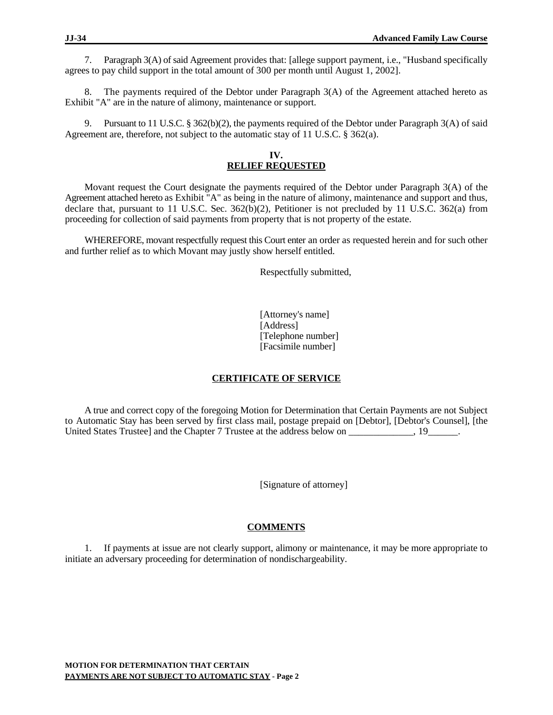7. Paragraph 3(A) of said Agreement provides that: [allege support payment, i.e., "Husband specifically agrees to pay child support in the total amount of 300 per month until August 1, 2002].

The payments required of the Debtor under Paragraph  $3(A)$  of the Agreement attached hereto as Exhibit "A" are in the nature of alimony, maintenance or support.

9. Pursuant to 11 U.S.C. § 362(b)(2), the payments required of the Debtor under Paragraph 3(A) of said Agreement are, therefore, not subject to the automatic stay of 11 U.S.C. § 362(a).

### **IV. RELIEF REQUESTED**

Movant request the Court designate the payments required of the Debtor under Paragraph 3(A) of the Agreement attached hereto as Exhibit "A" as being in the nature of alimony, maintenance and support and thus, declare that, pursuant to 11 U.S.C. Sec. 362(b)(2), Petitioner is not precluded by 11 U.S.C. 362(a) from proceeding for collection of said payments from property that is not property of the estate.

WHEREFORE, movant respectfully request this Court enter an order as requested herein and for such other and further relief as to which Movant may justly show herself entitled.

Respectfully submitted,

[Attorney's name] [Address] [Telephone number] [Facsimile number]

### **CERTIFICATE OF SERVICE**

A true and correct copy of the foregoing Motion for Determination that Certain Payments are not Subject to Automatic Stay has been served by first class mail, postage prepaid on [Debtor], [Debtor's Counsel], [the United States Trustee] and the Chapter 7 Trustee at the address below on \_\_\_\_\_\_\_\_\_\_\_\_, 19\_\_\_\_\_\_.

[Signature of attorney]

### **COMMENTS**

1. If payments at issue are not clearly support, alimony or maintenance, it may be more appropriate to initiate an adversary proceeding for determination of nondischargeability.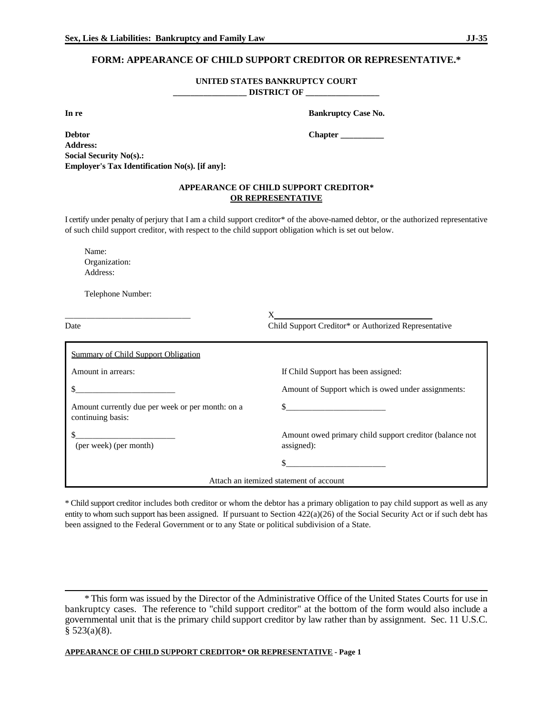### **FORM: APPEARANCE OF CHILD SUPPORT CREDITOR OR REPRESENTATIVE.\***

### **UNITED STATES BANKRUPTCY COURT \_\_\_\_\_\_\_\_\_\_\_\_\_\_\_\_\_ DISTRICT OF \_\_\_\_\_\_\_\_\_\_\_\_\_\_\_\_\_**

### **In re Bankruptcy Case No.**

**Debtor Chapter \_\_\_\_\_\_\_\_\_\_ Address: Social Security No(s).: Employer's Tax Identification No(s). [if any]:**

### **APPEARANCE OF CHILD SUPPORT CREDITOR\* OR REPRESENTATIVE**

I certify under penalty of perjury that I am a child support creditor\* of the above-named debtor, or the authorized representative of such child support creditor, with respect to the child support obligation which is set out below.

Name: Organization: Address:

Telephone Number:

| Date                                                                  | Child Support Creditor* or Authorized Representative                  |  |
|-----------------------------------------------------------------------|-----------------------------------------------------------------------|--|
| <b>Summary of Child Support Obligation</b>                            |                                                                       |  |
| Amount in arrears:                                                    | If Child Support has been assigned:                                   |  |
|                                                                       | Amount of Support which is owed under assignments:                    |  |
| Amount currently due per week or per month: on a<br>continuing basis: |                                                                       |  |
| \$<br>(per week) (per month)                                          | Amount owed primary child support creditor (balance not<br>assigned): |  |
|                                                                       |                                                                       |  |
|                                                                       | Attach an itemized statement of account                               |  |

\* Child support creditor includes both creditor or whom the debtor has a primary obligation to pay child support as well as any entity to whom such support has been assigned. If pursuant to Section 422(a)(26) of the Social Security Act or if such debt has been assigned to the Federal Government or to any State or political subdivision of a State.

\* This form was issued by the Director of the Administrative Office of the United States Courts for use in bankruptcy cases. The reference to "child support creditor" at the bottom of the form would also include a governmental unit that is the primary child support creditor by law rather than by assignment. Sec. 11 U.S.C. § 523(a)(8).

### **APPEARANCE OF CHILD SUPPORT CREDITOR\* OR REPRESENTATIVE - Page 1**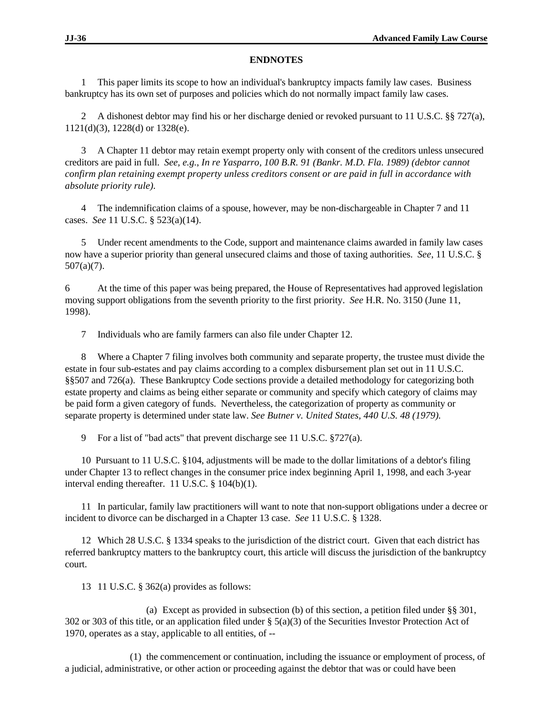### **ENDNOTES**

1 This paper limits its scope to how an individual's bankruptcy impacts family law cases. Business bankruptcy has its own set of purposes and policies which do not normally impact family law cases.

2 A dishonest debtor may find his or her discharge denied or revoked pursuant to 11 U.S.C. §§ 727(a), 1121(d)(3), 1228(d) or 1328(e).

3 A Chapter 11 debtor may retain exempt property only with consent of the creditors unless unsecured creditors are paid in full. *See, e.g.*, *In re Yasparro, 100 B.R. 91 (Bankr. M.D. Fla. 1989) (debtor cannot confirm plan retaining exempt property unless creditors consent or are paid in full in accordance with absolute priority rule).*

4 The indemnification claims of a spouse, however, may be non-dischargeable in Chapter 7 and 11 cases. *See* 11 U.S.C. § 523(a)(14).

5 Under recent amendments to the Code, support and maintenance claims awarded in family law cases now have a superior priority than general unsecured claims and those of taxing authorities. *See*, 11 U.S.C. § 507(a)(7).

6 At the time of this paper was being prepared, the House of Representatives had approved legislation moving support obligations from the seventh priority to the first priority. *See* H.R. No. 3150 (June 11, 1998).

7 Individuals who are family farmers can also file under Chapter 12.

8 Where a Chapter 7 filing involves both community and separate property, the trustee must divide the estate in four sub-estates and pay claims according to a complex disbursement plan set out in 11 U.S.C. §§507 and 726(a). These Bankruptcy Code sections provide a detailed methodology for categorizing both estate property and claims as being either separate or community and specify which category of claims may be paid form a given category of funds. Nevertheless, the categorization of property as community or separate property is determined under state law. *See Butner v. United States, 440 U.S. 48 (1979).*

9 For a list of "bad acts" that prevent discharge see 11 U.S.C. §727(a).

10 Pursuant to 11 U.S.C. §104, adjustments will be made to the dollar limitations of a debtor's filing under Chapter 13 to reflect changes in the consumer price index beginning April 1, 1998, and each 3-year interval ending thereafter. 11 U.S.C. § 104(b)(1).

11 In particular, family law practitioners will want to note that non-support obligations under a decree or incident to divorce can be discharged in a Chapter 13 case. *See* 11 U.S.C. § 1328.

12 Which 28 U.S.C. § 1334 speaks to the jurisdiction of the district court. Given that each district has referred bankruptcy matters to the bankruptcy court, this article will discuss the jurisdiction of the bankruptcy court.

13 11 U.S.C. § 362(a) provides as follows:

(a) Except as provided in subsection (b) of this section, a petition filed under §§ 301, 302 or 303 of this title, or an application filed under § 5(a)(3) of the Securities Investor Protection Act of 1970, operates as a stay, applicable to all entities, of --

(1) the commencement or continuation, including the issuance or employment of process, of a judicial, administrative, or other action or proceeding against the debtor that was or could have been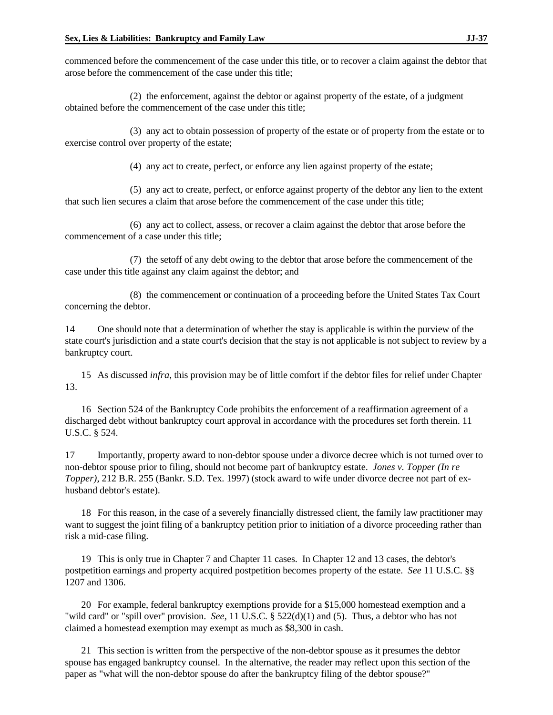commenced before the commencement of the case under this title, or to recover a claim against the debtor that arose before the commencement of the case under this title;

(2) the enforcement, against the debtor or against property of the estate, of a judgment obtained before the commencement of the case under this title;

(3) any act to obtain possession of property of the estate or of property from the estate or to exercise control over property of the estate;

(4) any act to create, perfect, or enforce any lien against property of the estate;

(5) any act to create, perfect, or enforce against property of the debtor any lien to the extent that such lien secures a claim that arose before the commencement of the case under this title;

(6) any act to collect, assess, or recover a claim against the debtor that arose before the commencement of a case under this title;

(7) the setoff of any debt owing to the debtor that arose before the commencement of the case under this title against any claim against the debtor; and

(8) the commencement or continuation of a proceeding before the United States Tax Court concerning the debtor.

14 One should note that a determination of whether the stay is applicable is within the purview of the state court's jurisdiction and a state court's decision that the stay is not applicable is not subject to review by a bankruptcy court.

15 As discussed *infra*, this provision may be of little comfort if the debtor files for relief under Chapter 13.

16 Section 524 of the Bankruptcy Code prohibits the enforcement of a reaffirmation agreement of a discharged debt without bankruptcy court approval in accordance with the procedures set forth therein. 11 U.S.C. § 524.

17 Importantly, property award to non-debtor spouse under a divorce decree which is not turned over to non-debtor spouse prior to filing, should not become part of bankruptcy estate. *Jones v. Topper (In re Topper)*, 212 B.R. 255 (Bankr. S.D. Tex. 1997) (stock award to wife under divorce decree not part of exhusband debtor's estate).

18 For this reason, in the case of a severely financially distressed client, the family law practitioner may want to suggest the joint filing of a bankruptcy petition prior to initiation of a divorce proceeding rather than risk a mid-case filing.

19 This is only true in Chapter 7 and Chapter 11 cases. In Chapter 12 and 13 cases, the debtor's postpetition earnings and property acquired postpetition becomes property of the estate. *See* 11 U.S.C. §§ 1207 and 1306.

20 For example, federal bankruptcy exemptions provide for a \$15,000 homestead exemption and a "wild card" or "spill over" provision. *See*, 11 U.S.C. § 522(d)(1) and (5). Thus, a debtor who has not claimed a homestead exemption may exempt as much as \$8,300 in cash.

21 This section is written from the perspective of the non-debtor spouse as it presumes the debtor spouse has engaged bankruptcy counsel. In the alternative, the reader may reflect upon this section of the paper as "what will the non-debtor spouse do after the bankruptcy filing of the debtor spouse?"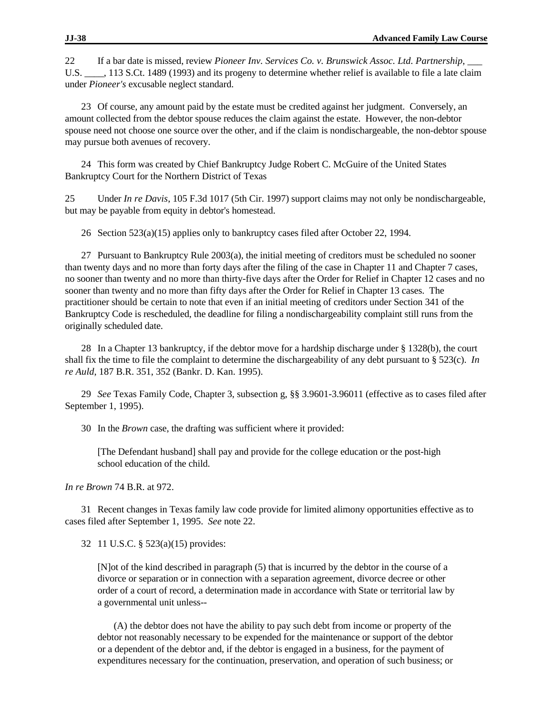22 If a bar date is missed, review *Pioneer Inv. Services Co. v. Brunswick Assoc. Ltd. Partnership*, \_\_\_ U.S. \_\_\_\_, 113 S.Ct. 1489 (1993) and its progeny to determine whether relief is available to file a late claim under *Pioneer's* excusable neglect standard.

23 Of course, any amount paid by the estate must be credited against her judgment. Conversely, an amount collected from the debtor spouse reduces the claim against the estate. However, the non-debtor spouse need not choose one source over the other, and if the claim is nondischargeable, the non-debtor spouse may pursue both avenues of recovery.

24 This form was created by Chief Bankruptcy Judge Robert C. McGuire of the United States Bankruptcy Court for the Northern District of Texas

25 Under *In re Davis*, 105 F.3d 1017 (5th Cir. 1997) support claims may not only be nondischargeable, but may be payable from equity in debtor's homestead.

26 Section 523(a)(15) applies only to bankruptcy cases filed after October 22, 1994.

27 Pursuant to Bankruptcy Rule 2003(a), the initial meeting of creditors must be scheduled no sooner than twenty days and no more than forty days after the filing of the case in Chapter 11 and Chapter 7 cases, no sooner than twenty and no more than thirty-five days after the Order for Relief in Chapter 12 cases and no sooner than twenty and no more than fifty days after the Order for Relief in Chapter 13 cases. The practitioner should be certain to note that even if an initial meeting of creditors under Section 341 of the Bankruptcy Code is rescheduled, the deadline for filing a nondischargeability complaint still runs from the originally scheduled date.

28 In a Chapter 13 bankruptcy, if the debtor move for a hardship discharge under § 1328(b), the court shall fix the time to file the complaint to determine the dischargeability of any debt pursuant to § 523(c). *In re Auld*, 187 B.R. 351, 352 (Bankr. D. Kan. 1995).

29 *See* Texas Family Code, Chapter 3, subsection g, §§ 3.9601-3.96011 (effective as to cases filed after September 1, 1995).

30 In the *Brown* case, the drafting was sufficient where it provided:

[The Defendant husband] shall pay and provide for the college education or the post-high school education of the child.

*In re Brown* 74 B.R. at 972.

31 Recent changes in Texas family law code provide for limited alimony opportunities effective as to cases filed after September 1, 1995. *See* note 22.

32 11 U.S.C. § 523(a)(15) provides:

[N]ot of the kind described in paragraph (5) that is incurred by the debtor in the course of a divorce or separation or in connection with a separation agreement, divorce decree or other order of a court of record, a determination made in accordance with State or territorial law by a governmental unit unless--

(A) the debtor does not have the ability to pay such debt from income or property of the debtor not reasonably necessary to be expended for the maintenance or support of the debtor or a dependent of the debtor and, if the debtor is engaged in a business, for the payment of expenditures necessary for the continuation, preservation, and operation of such business; or